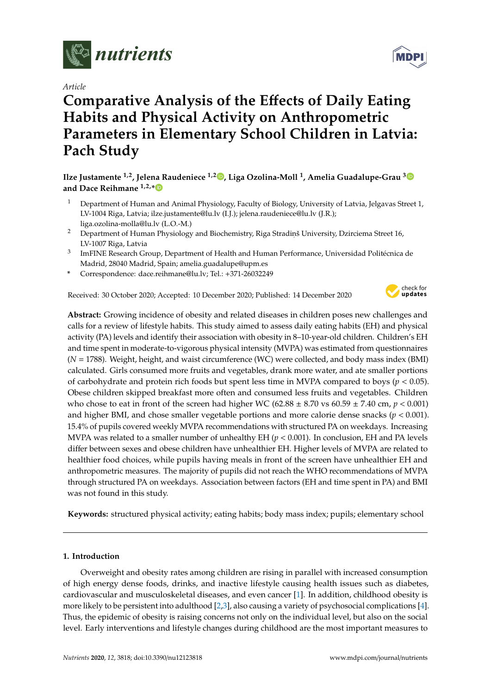

*Article*

# **Comparative Analysis of the E**ff**ects of Daily Eating Habits and Physical Activity on Anthropometric Parameters in Elementary School Children in Latvia: Pach Study**

# **Ilze Justamente 1,2, Jelena Raudeniece 1,2 [,](https://orcid.org/0000-0001-7233-6628) Liga Ozolina-Moll <sup>1</sup> , Amelia Guadalupe-Grau [3](https://orcid.org/0000-0003-2573-4572) and Dace Reihmane 1,2,[\\*](https://orcid.org/0000-0003-4929-4436)**

- <sup>1</sup> Department of Human and Animal Physiology, Faculty of Biology, University of Latvia, Jelgavas Street 1, LV-1004 Riga, Latvia; ilze.justamente@lu.lv (I.J.); jelena.raudeniece@lu.lv (J.R.); liga.ozolina-molla@lu.lv (L.O.-M.)
- <sup>2</sup> Department of Human Physiology and Biochemistry, Riga Stradinš University, Dzirciema Street 16, LV-1007 Riga, Latvia
- $^3$  ImFINE Research Group, Department of Health and Human Performance, Universidad Politécnica de Madrid, 28040 Madrid, Spain; amelia.guadalupe@upm.es
- **\*** Correspondence: dace.reihmane@lu.lv; Tel.: +371-26032249

Received: 30 October 2020; Accepted: 10 December 2020; Published: 14 December 2020



**Abstract:** Growing incidence of obesity and related diseases in children poses new challenges and calls for a review of lifestyle habits. This study aimed to assess daily eating habits (EH) and physical activity (PA) levels and identify their association with obesity in 8–10-year-old children. Children's EH and time spent in moderate-to-vigorous physical intensity (MVPA) was estimated from questionnaires (*N* = 1788). Weight, height, and waist circumference (WC) were collected, and body mass index (BMI) calculated. Girls consumed more fruits and vegetables, drank more water, and ate smaller portions of carbohydrate and protein rich foods but spent less time in MVPA compared to boys ( $p < 0.05$ ). Obese children skipped breakfast more often and consumed less fruits and vegetables. Children who chose to eat in front of the screen had higher WC  $(62.88 \pm 8.70 \text{ vs } 60.59 \pm 7.40 \text{ cm}, p < 0.001)$ and higher BMI, and chose smaller vegetable portions and more calorie dense snacks (*p* < 0.001). 15.4% of pupils covered weekly MVPA recommendations with structured PA on weekdays. Increasing MVPA was related to a smaller number of unhealthy EH (*p* < 0.001). In conclusion, EH and PA levels differ between sexes and obese children have unhealthier EH. Higher levels of MVPA are related to healthier food choices, while pupils having meals in front of the screen have unhealthier EH and anthropometric measures. The majority of pupils did not reach the WHO recommendations of MVPA through structured PA on weekdays. Association between factors (EH and time spent in PA) and BMI was not found in this study.

**Keywords:** structured physical activity; eating habits; body mass index; pupils; elementary school

# **1. Introduction**

Overweight and obesity rates among children are rising in parallel with increased consumption of high energy dense foods, drinks, and inactive lifestyle causing health issues such as diabetes, cardiovascular and musculoskeletal diseases, and even cancer [\[1\]](#page-16-0). In addition, childhood obesity is more likely to be persistent into adulthood [\[2](#page-16-1)[,3\]](#page-17-0), also causing a variety of psychosocial complications [\[4\]](#page-17-1). Thus, the epidemic of obesity is raising concerns not only on the individual level, but also on the social level. Early interventions and lifestyle changes during childhood are the most important measures to

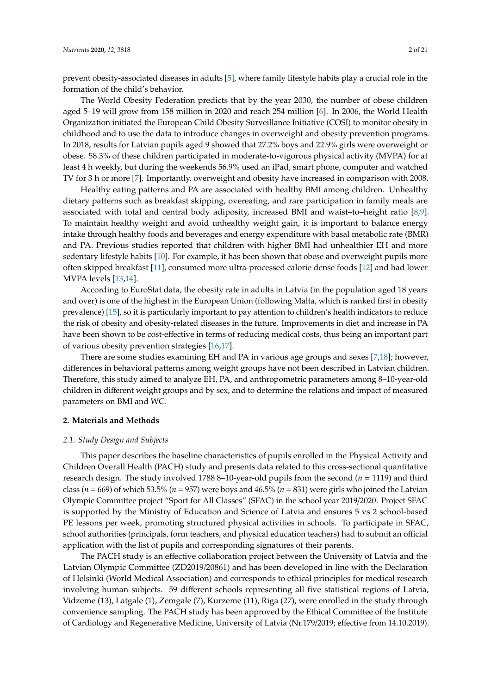prevent obesity-associated diseases in adults [\[5\]](#page-17-2), where family lifestyle habits play a crucial role in the formation of the child's behavior.

The World Obesity Federation predicts that by the year 2030, the number of obese children aged 5–19 will grow from 158 million in 2020 and reach 254 million [\[6\]](#page-17-3). In 2006, the World Health Organization initiated the European Child Obesity Surveillance Initiative (COSI) to monitor obesity in childhood and to use the data to introduce changes in overweight and obesity prevention programs. In 2018, results for Latvian pupils aged 9 showed that 27.2% boys and 22.9% girls were overweight or obese. 58.3% of these children participated in moderate-to-vigorous physical activity (MVPA) for at least 4 h weekly, but during the weekends 56.9% used an iPad, smart phone, computer and watched TV for 3 h or more [\[7\]](#page-17-4). Importantly, overweight and obesity have increased in comparison with 2008.

Healthy eating patterns and PA are associated with healthy BMI among children. Unhealthy dietary patterns such as breakfast skipping, overeating, and rare participation in family meals are associated with total and central body adiposity, increased BMI and waist–to–height ratio [\[8,](#page-17-5)[9\]](#page-17-6). To maintain healthy weight and avoid unhealthy weight gain, it is important to balance energy intake through healthy foods and beverages and energy expenditure with basal metabolic rate (BMR) and PA. Previous studies reported that children with higher BMI had unhealthier EH and more sedentary lifestyle habits [\[10\]](#page-17-7). For example, it has been shown that obese and overweight pupils more often skipped breakfast [\[11\]](#page-17-8), consumed more ultra-processed calorie dense foods [\[12\]](#page-17-9) and had lower MVPA levels [\[13](#page-17-10)[,14\]](#page-17-11).

According to EuroStat data, the obesity rate in adults in Latvia (in the population aged 18 years and over) is one of the highest in the European Union (following Malta, which is ranked first in obesity prevalence) [\[15\]](#page-17-12), so it is particularly important to pay attention to children's health indicators to reduce the risk of obesity and obesity-related diseases in the future. Improvements in diet and increase in PA have been shown to be cost-effective in terms of reducing medical costs, thus being an important part of various obesity prevention strategies [\[16,](#page-17-13)[17\]](#page-17-14).

There are some studies examining EH and PA in various age groups and sexes [\[7,](#page-17-4)[18\]](#page-17-15); however, differences in behavioral patterns among weight groups have not been described in Latvian children. Therefore, this study aimed to analyze EH, PA, and anthropometric parameters among 8–10-year-old children in different weight groups and by sex, and to determine the relations and impact of measured parameters on BMI and WC.

#### **2. Materials and Methods**

#### *2.1. Study Design and Subjects*

This paper describes the baseline characteristics of pupils enrolled in the Physical Activity and Children Overall Health (PACH) study and presents data related to this cross-sectional quantitative research design. The study involved 1788 8–10-year-old pupils from the second (*n* = 1119) and third class (*n* = 669) of which 53.5% (*n* = 957) were boys and 46.5% (*n* = 831) were girls who joined the Latvian Olympic Committee project "Sport for All Classes" (SFAC) in the school year 2019/2020. Project SFAC is supported by the Ministry of Education and Science of Latvia and ensures 5 vs 2 school-based PE lessons per week, promoting structured physical activities in schools. To participate in SFAC, school authorities (principals, form teachers, and physical education teachers) had to submit an official application with the list of pupils and corresponding signatures of their parents.

The PACH study is an effective collaboration project between the University of Latvia and the Latvian Olympic Committee (ZD2019/20861) and has been developed in line with the Declaration of Helsinki (World Medical Association) and corresponds to ethical principles for medical research involving human subjects. 59 different schools representing all five statistical regions of Latvia, Vidzeme (13), Latgale (1), Zemgale (7), Kurzeme (11), Riga (27), were enrolled in the study through convenience sampling. The PACH study has been approved by the Ethical Committee of the Institute of Cardiology and Regenerative Medicine, University of Latvia (Nr.179/2019; effective from 14.10.2019).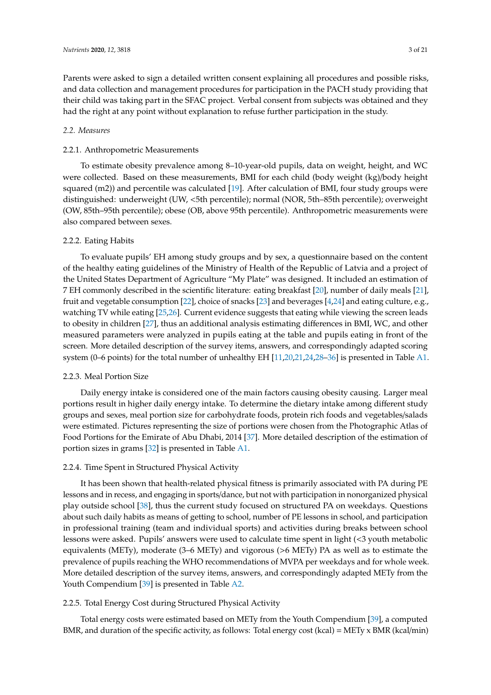Parents were asked to sign a detailed written consent explaining all procedures and possible risks, and data collection and management procedures for participation in the PACH study providing that their child was taking part in the SFAC project. Verbal consent from subjects was obtained and they had the right at any point without explanation to refuse further participation in the study.

## *2.2. Measures*

## 2.2.1. Anthropometric Measurements

To estimate obesity prevalence among 8–10-year-old pupils, data on weight, height, and WC were collected. Based on these measurements, BMI for each child (body weight (kg)/body height squared (m2)) and percentile was calculated [\[19\]](#page-17-16). After calculation of BMI, four study groups were distinguished: underweight (UW, <5th percentile); normal (NOR, 5th–85th percentile); overweight (OW, 85th–95th percentile); obese (OB, above 95th percentile). Anthropometric measurements were also compared between sexes.

### 2.2.2. Eating Habits

To evaluate pupils' EH among study groups and by sex, a questionnaire based on the content of the healthy eating guidelines of the Ministry of Health of the Republic of Latvia and a project of the United States Department of Agriculture "My Plate" was designed. It included an estimation of 7 EH commonly described in the scientific literature: eating breakfast [\[20\]](#page-17-17), number of daily meals [\[21\]](#page-17-18), fruit and vegetable consumption [\[22\]](#page-18-0), choice of snacks [\[23\]](#page-18-1) and beverages [\[4](#page-17-1)[,24\]](#page-18-2) and eating culture, e.g., watching TV while eating [\[25,](#page-18-3)[26\]](#page-18-4). Current evidence suggests that eating while viewing the screen leads to obesity in children [\[27\]](#page-18-5), thus an additional analysis estimating differences in BMI, WC, and other measured parameters were analyzed in pupils eating at the table and pupils eating in front of the screen. More detailed description of the survey items, answers, and correspondingly adapted scoring system (0–6 points) for the total number of unhealthy EH [\[11,](#page-17-8)[20,](#page-17-17)[21,](#page-17-18)[24](#page-18-2)[,28](#page-18-6)[–36\]](#page-18-7) is presented in Table [A1.](#page-14-0)

#### 2.2.3. Meal Portion Size

Daily energy intake is considered one of the main factors causing obesity causing. Larger meal portions result in higher daily energy intake. To determine the dietary intake among different study groups and sexes, meal portion size for carbohydrate foods, protein rich foods and vegetables/salads were estimated. Pictures representing the size of portions were chosen from the Photographic Atlas of Food Portions for the Emirate of Abu Dhabi, 2014 [\[37\]](#page-18-8). More detailed description of the estimation of portion sizes in grams [\[32\]](#page-18-9) is presented in Table [A1.](#page-14-0)

#### 2.2.4. Time Spent in Structured Physical Activity

It has been shown that health-related physical fitness is primarily associated with PA during PE lessons and in recess, and engaging in sports/dance, but not with participation in nonorganized physical play outside school [\[38\]](#page-18-10), thus the current study focused on structured PA on weekdays. Questions about such daily habits as means of getting to school, number of PE lessons in school, and participation in professional training (team and individual sports) and activities during breaks between school lessons were asked. Pupils' answers were used to calculate time spent in light (<3 youth metabolic equivalents (METy), moderate (3–6 METy) and vigorous (>6 METy) PA as well as to estimate the prevalence of pupils reaching the WHO recommendations of MVPA per weekdays and for whole week. More detailed description of the survey items, answers, and correspondingly adapted METy from the Youth Compendium [\[39\]](#page-18-11) is presented in Table [A2.](#page-16-2)

## 2.2.5. Total Energy Cost during Structured Physical Activity

Total energy costs were estimated based on METy from the Youth Compendium [\[39\]](#page-18-11), a computed BMR, and duration of the specific activity, as follows: Total energy cost (kcal) = METy x BMR (kcal/min)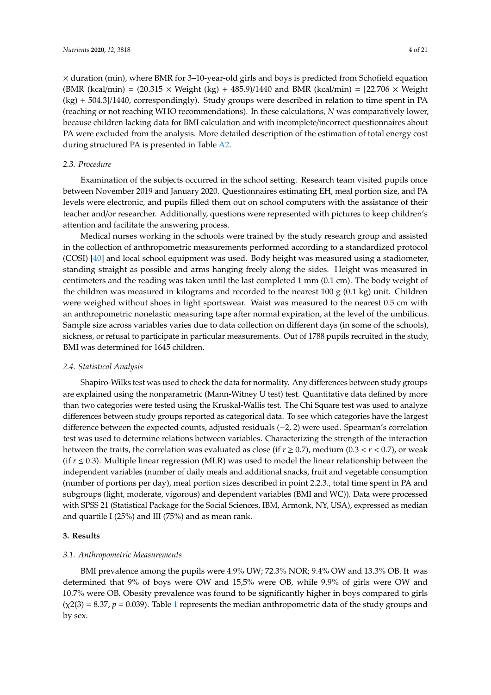× duration (min), where BMR for 3–10-year-old girls and boys is predicted from Schofield equation (BMR (kcal/min) =  $(20.315 \times$  Weight (kg) + 485.9)/1440 and BMR (kcal/min) =  $[22.706 \times$  Weight (kg) + 504.3]/1440, correspondingly). Study groups were described in relation to time spent in PA (reaching or not reaching WHO recommendations). In these calculations, *N* was comparatively lower, because children lacking data for BMI calculation and with incomplete/incorrect questionnaires about PA were excluded from the analysis. More detailed description of the estimation of total energy cost during structured PA is presented in Table [A2.](#page-16-2)

#### *2.3. Procedure*

Examination of the subjects occurred in the school setting. Research team visited pupils once between November 2019 and January 2020. Questionnaires estimating EH, meal portion size, and PA levels were electronic, and pupils filled them out on school computers with the assistance of their teacher and/or researcher. Additionally, questions were represented with pictures to keep children's attention and facilitate the answering process.

Medical nurses working in the schools were trained by the study research group and assisted in the collection of anthropometric measurements performed according to a standardized protocol (COSI) [\[40\]](#page-18-12) and local school equipment was used. Body height was measured using a stadiometer, standing straight as possible and arms hanging freely along the sides. Height was measured in centimeters and the reading was taken until the last completed 1 mm (0.1 cm). The body weight of the children was measured in kilograms and recorded to the nearest  $100 \text{ g } (0.1 \text{ kg})$  unit. Children were weighed without shoes in light sportswear. Waist was measured to the nearest 0.5 cm with an anthropometric nonelastic measuring tape after normal expiration, at the level of the umbilicus. Sample size across variables varies due to data collection on different days (in some of the schools), sickness, or refusal to participate in particular measurements. Out of 1788 pupils recruited in the study, BMI was determined for 1645 children.

#### *2.4. Statistical Analysis*

Shapiro-Wilks test was used to check the data for normality. Any differences between study groups are explained using the nonparametric (Mann-Witney U test) test. Quantitative data defined by more than two categories were tested using the Kruskal-Wallis test. The Chi Square test was used to analyze differences between study groups reported as categorical data. To see which categories have the largest difference between the expected counts, adjusted residuals (−2, 2) were used. Spearman's correlation test was used to determine relations between variables. Characterizing the strength of the interaction between the traits, the correlation was evaluated as close (if  $r \ge 0.7$ ), medium (0.3 <  $r$  < 0.7), or weak (if  $r \leq 0.3$ ). Multiple linear regression (MLR) was used to model the linear relationship between the independent variables (number of daily meals and additional snacks, fruit and vegetable consumption (number of portions per day), meal portion sizes described in point 2.2.3., total time spent in PA and subgroups (light, moderate, vigorous) and dependent variables (BMI and WC)). Data were processed with SPSS 21 (Statistical Package for the Social Sciences, IBM, Armonk, NY, USA), expressed as median and quartile I (25%) and III (75%) and as mean rank.

#### **3. Results**

#### *3.1. Anthropometric Measurements*

BMI prevalence among the pupils were 4.9% UW; 72.3% NOR; 9.4% OW and 13.3% OB. It was determined that 9% of boys were OW and 15,5% were OB, while 9.9% of girls were OW and 10.7% were OB. Obesity prevalence was found to be significantly higher in boys compared to girls  $(\chi2(3) = 8.37, p = 0.039)$ . Table [1](#page-4-0) represents the median anthropometric data of the study groups and by sex.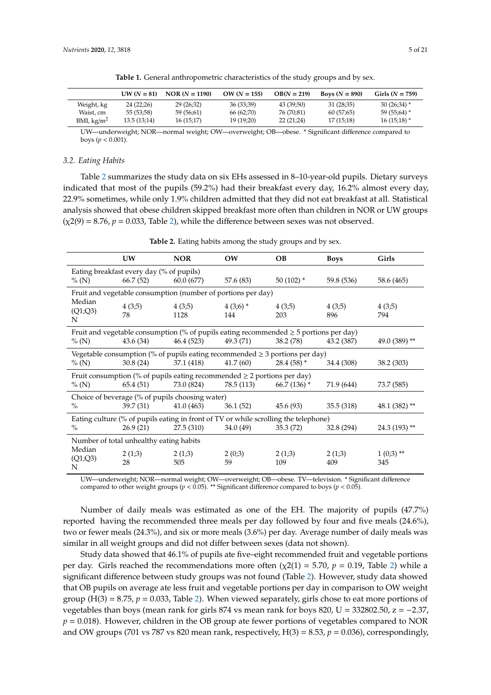<span id="page-4-0"></span>

|                      | $UW (N = 81)$ | <b>NOR</b> $(N = 1190)$ | $OW (N = 155)$ | $OB(N = 219)$ | <b>Boys</b> $(N = 890)$ | Girls $(N = 759)$ |
|----------------------|---------------|-------------------------|----------------|---------------|-------------------------|-------------------|
| Weight, kg           | 24 (22:26)    | 29 (26:32)              | 36 (33:39)     | 43 (39:50)    | 31(28,35)               | $30(26:34)$ *     |
| Waist, cm            | 55 (53;58)    | 59 (56:61)              | 66 (62;70)     | 76 (70:81)    | 60(57,65)               | $59(55,64)$ *     |
| BMI, $\text{kg/m}^2$ | 13.5(13.14)   | 16(15;17)               | 19 (19:20)     | 22(21;24)     | 17(15;18)               | $16(15,18)$ *     |

**Table 1.** General anthropometric characteristics of the study groups and by sex.

UW—underweight; NOR—normal weight; OW—overweight; OB—obese. \* Significant difference compared to boys (*p* < 0.001).

#### *3.2. Eating Habits*

Table [2](#page-4-1) summarizes the study data on six EHs assessed in 8–10-year-old pupils. Dietary surveys indicated that most of the pupils (59.2%) had their breakfast every day, 16.2% almost every day, 22.9% sometimes, while only 1.9% children admitted that they did not eat breakfast at all. Statistical analysis showed that obese children skipped breakfast more often than children in NOR or UW groups  $(\chi 2(9) = 8.76, p = 0.033,$  Table [2\)](#page-4-1), while the difference between sexes was not observed.

<span id="page-4-1"></span>

|                                         | UW                                                                                  | <b>NOR</b>                                                                                 | OW                | <b>OB</b>     | <b>Boys</b>   | Girls              |
|-----------------------------------------|-------------------------------------------------------------------------------------|--------------------------------------------------------------------------------------------|-------------------|---------------|---------------|--------------------|
|                                         | Eating breakfast every day (% of pupils)                                            |                                                                                            |                   |               |               |                    |
| % (N)                                   | 66.7(52)                                                                            | 60.0 (677)                                                                                 | 57.6 (83)         | $50(102)$ *   | 59.8 (536)    | 58.6 (465)         |
|                                         |                                                                                     | Fruit and vegetable consumption (number of portions per day)                               |                   |               |               |                    |
| Median<br>(Q1;Q3)<br>N                  | 4(3;5)<br>78                                                                        | 4(3,5)<br>1128                                                                             | $4(3,6)$ *<br>144 | 4(3;5)<br>203 | 4(3,5)<br>896 | 4(3;5)<br>794      |
|                                         |                                                                                     | Fruit and vegetable consumption (% of pupils eating recommended $\geq$ 5 portions per day) |                   |               |               |                    |
| % (N)                                   | 43.6(34)                                                                            | 46.4 (523)                                                                                 | 49.3 (71)         | 38.2(78)      | 43.2 (387)    | 49.0 (389) **      |
|                                         |                                                                                     | Vegetable consumption (% of pupils eating recommended $\geq$ 3 portions per day)           |                   |               |               |                    |
| % (N)                                   | 30.8(24)                                                                            | 37.1 (418)                                                                                 | 41.7(60)          | $28.4(58)$ *  | 34.4 (308)    | 38.2 (303)         |
|                                         |                                                                                     | Fruit consumption (% of pupils eating recommended $\geq$ 2 portions per day)               |                   |               |               |                    |
| % (N)                                   | 65.4(51)                                                                            | 73.0 (824)                                                                                 | 78.5 (113)        | $66.7(136)$ * | 71.9 (644)    | 73.7 (585)         |
|                                         |                                                                                     | Choice of beverage (% of pupils choosing water)                                            |                   |               |               |                    |
| $\%$                                    | 39.7(31)                                                                            | 41.0(463)                                                                                  | 36.1(52)          | 45.6(93)      | 35.5(318)     | 48.1 $(382)$ **    |
|                                         | Eating culture (% of pupils eating in front of TV or while scrolling the telephone) |                                                                                            |                   |               |               |                    |
| $\%$                                    | 26.9(21)                                                                            | 27.5(310)                                                                                  | 34.0(49)          | 35.3(72)      | 32.8 (294)    | $24.3(193)$ **     |
| Number of total unhealthy eating habits |                                                                                     |                                                                                            |                   |               |               |                    |
| Median<br>(Q1;Q3)<br>N                  | 2(1,3)<br>28                                                                        | 2(1,3)<br>505                                                                              | 2(0,3)<br>59      | 2(1,3)<br>109 | 2(1,3)<br>409 | $1(0,3)$ **<br>345 |

**Table 2.** Eating habits among the study groups and by sex.

UW—underweight; NOR—normal weight; OW—overweight; OB—obese. TV—television. \* Significant difference compared to other weight groups ( $p < 0.05$ ). \*\* Significant difference compared to boys ( $p < 0.05$ ).

Number of daily meals was estimated as one of the EH. The majority of pupils (47.7%) reported having the recommended three meals per day followed by four and five meals (24.6%), two or fewer meals (24.3%), and six or more meals (3.6%) per day. Average number of daily meals was similar in all weight groups and did not differ between sexes (data not shown).

Study data showed that 46.1% of pupils ate five–eight recommended fruit and vegetable portions per day. Girls reached the recommendations more often  $(\chi^2(1) = 5.70, p = 0.19,$  Table [2\)](#page-4-1) while a significant difference between study groups was not found (Table [2\)](#page-4-1). However, study data showed that OB pupils on average ate less fruit and vegetable portions per day in comparison to OW weight group (H(3) = 8.75,  $p = 0.033$ , Table [2\)](#page-4-1). When viewed separately, girls chose to eat more portions of vegetables than boys (mean rank for girls 874 vs mean rank for boys 820, U = 332802.50,  $z = -2.37$ ,  $p = 0.018$ ). However, children in the OB group ate fewer portions of vegetables compared to NOR and OW groups (701 vs 787 vs 820 mean rank, respectively,  $H(3) = 8.53$ ,  $p = 0.036$ ), correspondingly,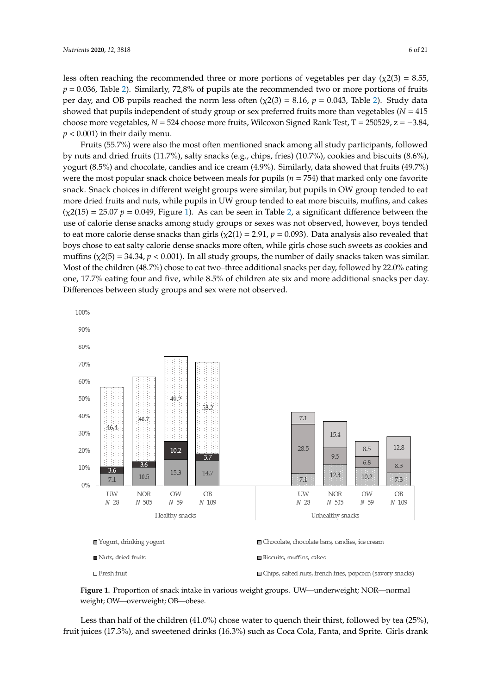less often reaching the recommended three or more portions of vegetables per day  $(\chi^2(3) = 8.55,$  $p = 0.036$ , Table [2\)](#page-4-1). Similarly, 72,8% of pupils ate the recommended two or more portions of fruits per day, and OB pupils reached the norm less often  $(\chi^2(3) = 8.16, p = 0.043,$  Table [2\)](#page-4-1). Study data showed that pupils independent of study group or sex preferred fruits more than vegetables (*N* = 415 choose more vegetables,  $N = 524$  choose more fruits, Wilcoxon Signed Rank Test, T = 250529, z = -3.84,  $p < 0.001$ ) in their daily menu.

Fruits (55.7%) were also the most often mentioned snack among all study participants, followed by nuts and dried fruits (11.7%), salty snacks (e.g., chips, fries) (10.7%), cookies and biscuits (8.6%), (8.5%) and chocolate, candies and ice cream (4.9%). Similarly, data showed that fruits (49.7%) were the most popular snack choice between meals for pupils ( $n = 754$ ) that marked only one favorite snack. Snack choices in different weight groups were similar, but pupils in OW group tended to eat more dried fruits and nuts, while pupils in UW group tended to eat more biscuits, muffins, and cakes  $(\chi^2(15) = 25.07 \ p = 0.049$ , Figure [1\)](#page-5-0). As can be seen in Table [2,](#page-4-1) a significant difference between the use of calorie dense snacks among study groups or sexes was not observed, however, boys tended to eat more calorie dense snacks than girls ( $\chi$ 2(1) = 2.91, *p* = 0.093). Data analysis also revealed that boys chose to eat salty calorie dense snacks more often, while girls chose such sweets as cookies and muffins ( $\chi$ 2(5) = 34.34, *p* < 0.001). In all study groups, the number of daily snacks taken was similar. Most of the children (48.7%) chose to eat two–three additional snacks per day, followed by 22.0% eating one, 17.7% eating four and five, while 8.5% of children ate six and more additional snacks per day. Differences between study groups and sex were not observed.

<span id="page-5-0"></span>

**Figure 1.** Proportion of snack intake in various weight groups. UW—underweight; NOR—normal weight; OW—overweight; OB—obese.

Less than half of the children (41.0%) chose water to quench their thirst, followed by tea (25%), fruit juices (17.3%), and sweetened drinks (16.3%) such as Coca Cola, Fanta, and Sprite. Girls drank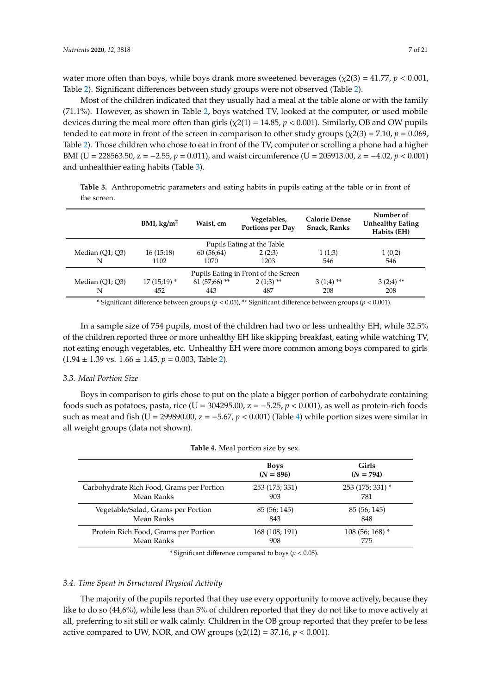water more often than boys, while boys drank more sweetened beverages ( $\chi$ 2(3) = 41.77, *p* < 0.001, Table [2\)](#page-4-1). Significant differences between study groups were not observed (Table [2\)](#page-4-1).

Most of the children indicated that they usually had a meal at the table alone or with the family (71.1%). However, as shown in Table [2,](#page-4-1) boys watched TV, looked at the computer, or used mobile devices during the meal more often than girls  $(\chi(21) = 14.85, p < 0.001)$ . Similarly, OB and OW pupils tended to eat more in front of the screen in comparison to other study groups ( $\chi$ 2(3) = 7.10, *p* = 0.069, Table [2\)](#page-4-1). Those children who chose to eat in front of the TV, computer or scrolling a phone had a higher BMI (U = 228563.50, z = −2.55, *p* = 0.011), and waist circumference (U = 205913.00, z = −4.02, *p* < 0.001) and unhealthier eating habits (Table [3\)](#page-6-0).

<span id="page-6-0"></span>**Table 3.** Anthropometric parameters and eating habits in pupils eating at the table or in front of the screen.

|                   | BMI, $\text{kg/m}^2$                 | Waist, cm      | Vegetables,<br>Portions per Day | <b>Calorie Dense</b><br>Snack, Ranks | Number of<br><b>Unhealthy Eating</b><br>Habits (EH) |  |
|-------------------|--------------------------------------|----------------|---------------------------------|--------------------------------------|-----------------------------------------------------|--|
|                   | Pupils Eating at the Table           |                |                                 |                                      |                                                     |  |
| Median $(Q1; Q3)$ | 16(15;18)                            | 60(56,64)      | 2(2,3)                          | 1(1,3)                               | 1(0;2)                                              |  |
| N                 | 1102                                 | 1070           | 1203                            | 546                                  | 546                                                 |  |
|                   | Pupils Eating in Front of the Screen |                |                                 |                                      |                                                     |  |
| Median $(Q1; Q3)$ | $17(15;19)$ *                        | $61(57,66)$ ** | $2(1,3)$ **                     | $3(1,4)$ **                          | $3(2,4)$ <sup>**</sup>                              |  |
| N                 | 452                                  | 443            | 487                             | 208                                  | 208                                                 |  |

\* Significant difference between groups (*p* < 0.05), \*\* Significant difference between groups (*p* < 0.001).

In a sample size of 754 pupils, most of the children had two or less unhealthy EH, while 32.5% of the children reported three or more unhealthy EH like skipping breakfast, eating while watching TV, not eating enough vegetables, etc. Unhealthy EH were more common among boys compared to girls  $(1.94 \pm 1.39 \text{ vs. } 1.66 \pm 1.45, p = 0.003, \text{ Table 2}).$ 

#### *3.3. Meal Portion Size*

Boys in comparison to girls chose to put on the plate a bigger portion of carbohydrate containing foods such as potatoes, pasta, rice (U =  $304295.00$ ,  $z = -5.25$ ,  $p < 0.001$ ), as well as protein-rich foods such as meat and fish ( $U = 299890.00$ ,  $z = -5.67$ ,  $p < 0.001$ ) (Table [4\)](#page-6-1) while portion sizes were similar in all weight groups (data not shown).

<span id="page-6-1"></span>

|                                           | <b>Boys</b><br>$(N = 896)$ | Girls<br>$(N = 794)$       |
|-------------------------------------------|----------------------------|----------------------------|
| Carbohydrate Rich Food, Grams per Portion | 253 (175; 331)             | 253 (175; 331) *           |
| Mean Ranks                                | 903                        | 781                        |
| Vegetable/Salad, Grams per Portion        | 85 (56; 145)               | 85 (56; 145)               |
| Mean Ranks                                | 843                        | 848                        |
| Protein Rich Food, Grams per Portion      | 168 (108; 191)             | $108(56;168)$ <sup>*</sup> |
| Mean Ranks                                | 908                        | 775                        |

#### **Table 4.** Meal portion size by sex.

\* Significant difference compared to boys (*p* < 0.05).

#### *3.4. Time Spent in Structured Physical Activity*

The majority of the pupils reported that they use every opportunity to move actively, because they like to do so (44,6%), while less than 5% of children reported that they do not like to move actively at all, preferring to sit still or walk calmly. Children in the OB group reported that they prefer to be less active compared to UW, NOR, and OW groups  $(\chi2(12) = 37.16, p < 0.001)$ .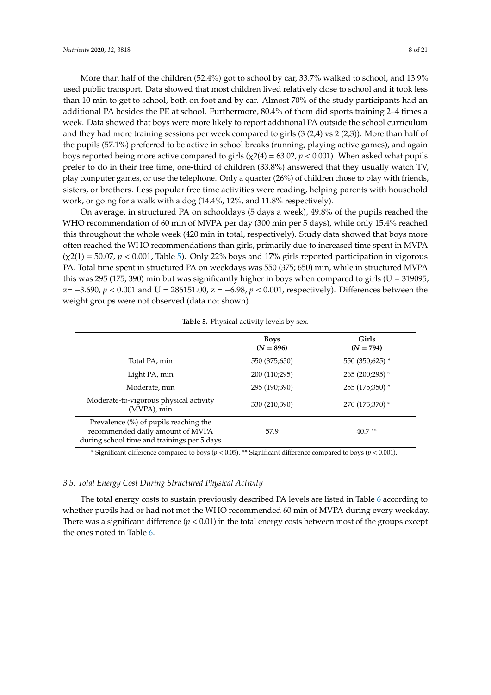More than half of the children (52.4%) got to school by car, 33.7% walked to school, and 13.9% used public transport. Data showed that most children lived relatively close to school and it took less than 10 min to get to school, both on foot and by car. Almost 70% of the study participants had an additional PA besides the PE at school. Furthermore, 80.4% of them did sports training 2–4 times a week. Data showed that boys were more likely to report additional PA outside the school curriculum and they had more training sessions per week compared to girls (3 (2;4) vs 2 (2;3)). More than half of the pupils (57.1%) preferred to be active in school breaks (running, playing active games), and again boys reported being more active compared to girls ( $\chi$ 2(4) = 63.02,  $p$  < 0.001). When asked what pupils prefer to do in their free time, one-third of children (33.8%) answered that they usually watch TV, play computer games, or use the telephone. Only a quarter (26%) of children chose to play with friends, sisters, or brothers. Less popular free time activities were reading, helping parents with household work, or going for a walk with a dog (14.4%, 12%, and 11.8% respectively).

On average, in structured PA on schooldays (5 days a week), 49.8% of the pupils reached the WHO recommendation of 60 min of MVPA per day (300 min per 5 days), while only 15.4% reached this throughout the whole week (420 min in total, respectively). Study data showed that boys more often reached the WHO recommendations than girls, primarily due to increased time spent in MVPA  $(\chi(2(1) = 50.07, p < 0.001,$  Table [5\)](#page-7-0). Only 22% boys and 17% girls reported participation in vigorous PA. Total time spent in structured PA on weekdays was 550 (375; 650) min, while in structured MVPA this was 295 (175; 390) min but was significantly higher in boys when compared to girls (U = 319095, z= −3.690, *p* < 0.001 and U = 286151.00, z = −6.98, *p* < 0.001, respectively). Differences between the weight groups were not observed (data not shown).

<span id="page-7-0"></span>

|                                                                                                                          | <b>Boys</b><br>$(N = 896)$ | Girls<br>$(N = 794)$ |
|--------------------------------------------------------------------------------------------------------------------------|----------------------------|----------------------|
| Total PA, min                                                                                                            | 550 (375;650)              | 550 (350;625) *      |
| Light PA, min                                                                                                            | 200 (110;295)              | 265 (200;295) *      |
| Moderate, min                                                                                                            | 295 (190;390)              | 255 (175;350) *      |
| Moderate-to-vigorous physical activity<br>(MVPA), min                                                                    | 330 (210;390)              | 270 (175;370) *      |
| Prevalence (%) of pupils reaching the<br>recommended daily amount of MVPA<br>during school time and trainings per 5 days | 57.9                       | $40.7**$             |

**Table 5.** Physical activity levels by sex.

\* Significant difference compared to boys (*p* < 0.05). \*\* Significant difference compared to boys (*p* < 0.001).

#### *3.5. Total Energy Cost During Structured Physical Activity*

The total energy costs to sustain previously described PA levels are listed in Table [6](#page-8-0) according to whether pupils had or had not met the WHO recommended 60 min of MVPA during every weekday. There was a significant difference  $(p < 0.01)$  in the total energy costs between most of the groups except the ones noted in Table [6.](#page-8-0)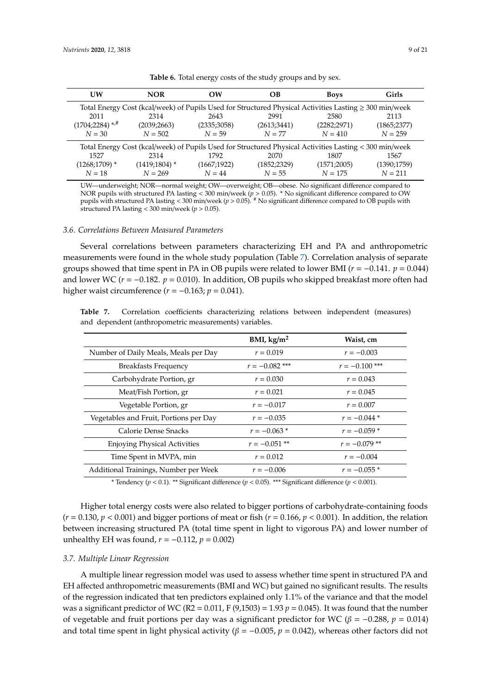<span id="page-8-0"></span>

| UW                           | <b>NOR</b>                                                                                                  | $\alpha$    | OВ           | <b>Boys</b>  | Girls        |  |
|------------------------------|-------------------------------------------------------------------------------------------------------------|-------------|--------------|--------------|--------------|--|
|                              | Total Energy Cost (kcal/week) of Pupils Used for Structured Physical Activities Lasting $\geq 300$ min/week |             |              |              |              |  |
| 2011                         | 2314                                                                                                        | 2643        | 2991         | 2580         | 2113         |  |
| $(1704;2284)$ <sup>*/#</sup> | (2039;2663)                                                                                                 | (2335;3058) | (2613;3441)  | (2282; 2971) | (1865; 2377) |  |
| $N = 30$                     | $N = 502$                                                                                                   | $N = 59$    | $N = 77$     | $N = 410$    | $N = 259$    |  |
|                              | Total Energy Cost (kcal/week) of Pupils Used for Structured Physical Activities Lasting < 300 min/week      |             |              |              |              |  |
| 1527                         | 2314                                                                                                        | 1792        | 2070         | 1807         | 1567         |  |
| $(1268;1709)*$               | $(1419;1804)*$                                                                                              | (1667;1922) | (1852; 2329) | (1571;2005)  | (1390;1759)  |  |
| $N = 18$                     | $N = 269$                                                                                                   | $N = 44$    | $N = 55$     | $N = 175$    | $N = 211$    |  |

**Table 6.** Total energy costs of the study groups and by sex.

UW—underweight; NOR—normal weight; OW—overweight; OB—obese. No significant difference compared to NOR pupils with structured PA lasting < 300 min/week (*p* > 0.05). \* No significant difference compared to OW pupils with structured PA lasting < 300 min/week (*p* > 0.05). # No significant difference compared to OB pupils with structured PA lasting < 300 min/week (*p* > 0.05).

#### *3.6. Correlations Between Measured Parameters*

Several correlations between parameters characterizing EH and PA and anthropometric measurements were found in the whole study population (Table [7\)](#page-8-1). Correlation analysis of separate groups showed that time spent in PA in OB pupils were related to lower BMI ( $r = -0.141$ .  $p = 0.044$ ) and lower WC ( $r = -0.182$ .  $p = 0.010$ ). In addition, OB pupils who skipped breakfast more often had higher waist circumference  $(r = -0.163; p = 0.041)$ .

<span id="page-8-1"></span>**Table 7.** Correlation coefficients characterizing relations between independent (measures) and dependent (anthropometric measurements) variables.

|                                        | BMI, kg/m <sup>2</sup> | Waist, cm        |
|----------------------------------------|------------------------|------------------|
| Number of Daily Meals, Meals per Day   | $r = 0.019$            | $r = -0.003$     |
| <b>Breakfasts Frequency</b>            | $r = -0.082$ ***       | $r = -0.100$ *** |
| Carbohydrate Portion, gr               | $r = 0.030$            | $r = 0.043$      |
| Meat/Fish Portion, gr                  | $r = 0.021$            | $r = 0.045$      |
| Vegetable Portion, gr                  | $r = -0.017$           | $r = 0.007$      |
| Vegetables and Fruit, Portions per Day | $r = -0.035$           | $r = -0.044*$    |
| Calorie Dense Snacks                   | $r = -0.063*$          | $r = -0.059*$    |
| <b>Enjoying Physical Activities</b>    | $r = -0.051$ **        | $r = -0.079$ **  |
| Time Spent in MVPA, min                | $r = 0.012$            | $r = -0.004$     |
| Additional Trainings, Number per Week  | $r = -0.006$           | $r = -0.055*$    |

\* Tendency (*p* < 0.1). \*\* Significant difference (*p* < 0.05). \*\*\* Significant difference (*p* < 0.001).

Higher total energy costs were also related to bigger portions of carbohydrate-containing foods  $(r = 0.130, p < 0.001)$  and bigger portions of meat or fish  $(r = 0.166, p < 0.001)$ . In addition, the relation between increasing structured PA (total time spent in light to vigorous PA) and lower number of unhealthy EH was found,  $r = -0.112$ ,  $p = 0.002$ )

#### *3.7. Multiple Linear Regression*

A multiple linear regression model was used to assess whether time spent in structured PA and EH affected anthropometric measurements (BMI and WC) but gained no significant results. The results of the regression indicated that ten predictors explained only 1.1% of the variance and that the model was a significant predictor of WC (R2 = 0.011, F (9,1503) = 1.93  $p = 0.045$ ). It was found that the number of vegetable and fruit portions per day was a significant predictor for WC ( $\beta$  = -0.288,  $p$  = 0.014) and total time spent in light physical activity ( $\beta = -0.005$ ,  $p = 0.042$ ), whereas other factors did not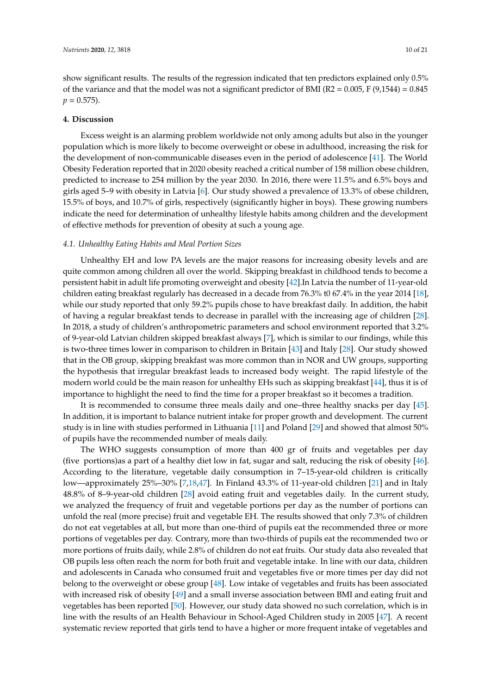show significant results. The results of the regression indicated that ten predictors explained only 0.5% of the variance and that the model was not a significant predictor of BMI ( $R2 = 0.005$ , F (9,1544) = 0.845  $p = 0.575$ .

#### **4. Discussion**

Excess weight is an alarming problem worldwide not only among adults but also in the younger population which is more likely to become overweight or obese in adulthood, increasing the risk for the development of non-communicable diseases even in the period of adolescence [\[41\]](#page-18-13). The World Obesity Federation reported that in 2020 obesity reached a critical number of 158 million obese children, predicted to increase to 254 million by the year 2030. In 2016, there were 11.5% and 6.5% boys and girls aged 5–9 with obesity in Latvia [\[6\]](#page-17-3). Our study showed a prevalence of 13.3% of obese children, 15.5% of boys, and 10.7% of girls, respectively (significantly higher in boys). These growing numbers indicate the need for determination of unhealthy lifestyle habits among children and the development of effective methods for prevention of obesity at such a young age.

#### *4.1. Unhealthy Eating Habits and Meal Portion Sizes*

Unhealthy EH and low PA levels are the major reasons for increasing obesity levels and are quite common among children all over the world. Skipping breakfast in childhood tends to become a persistent habit in adult life promoting overweight and obesity [\[42\]](#page-18-14).In Latvia the number of 11-year-old children eating breakfast regularly has decreased in a decade from 76.3% t0 67.4% in the year 2014 [\[18\]](#page-17-15), while our study reported that only 59.2% pupils chose to have breakfast daily. In addition, the habit of having a regular breakfast tends to decrease in parallel with the increasing age of children [\[28\]](#page-18-6). In 2018, a study of children's anthropometric parameters and school environment reported that 3.2% of 9-year-old Latvian children skipped breakfast always [\[7\]](#page-17-4), which is similar to our findings, while this is two-three times lower in comparison to children in Britain [\[43\]](#page-18-15) and Italy [\[28\]](#page-18-6). Our study showed that in the OB group, skipping breakfast was more common than in NOR and UW groups, supporting the hypothesis that irregular breakfast leads to increased body weight. The rapid lifestyle of the modern world could be the main reason for unhealthy EHs such as skipping breakfast [\[44\]](#page-19-0), thus it is of importance to highlight the need to find the time for a proper breakfast so it becomes a tradition.

It is recommended to consume three meals daily and one–three healthy snacks per day [\[45\]](#page-19-1). In addition, it is important to balance nutrient intake for proper growth and development. The current study is in line with studies performed in Lithuania [\[11\]](#page-17-8) and Poland [\[29\]](#page-18-16) and showed that almost 50% of pupils have the recommended number of meals daily.

The WHO suggests consumption of more than 400 gr of fruits and vegetables per day (five portions)as a part of a healthy diet low in fat, sugar and salt, reducing the risk of obesity [\[46\]](#page-19-2). According to the literature, vegetable daily consumption in 7–15-year-old children is critically low—approximately 25%–30% [\[7,](#page-17-4)[18,](#page-17-15)[47\]](#page-19-3). In Finland 43.3% of 11-year-old children [\[21\]](#page-17-18) and in Italy 48.8% of 8–9-year-old children [\[28\]](#page-18-6) avoid eating fruit and vegetables daily. In the current study, we analyzed the frequency of fruit and vegetable portions per day as the number of portions can unfold the real (more precise) fruit and vegetable EH. The results showed that only 7.3% of children do not eat vegetables at all, but more than one-third of pupils eat the recommended three or more portions of vegetables per day. Contrary, more than two-thirds of pupils eat the recommended two or more portions of fruits daily, while 2.8% of children do not eat fruits. Our study data also revealed that OB pupils less often reach the norm for both fruit and vegetable intake. In line with our data, children and adolescents in Canada who consumed fruit and vegetables five or more times per day did not belong to the overweight or obese group [\[48\]](#page-19-4). Low intake of vegetables and fruits has been associated with increased risk of obesity [\[49\]](#page-19-5) and a small inverse association between BMI and eating fruit and vegetables has been reported [\[50\]](#page-19-6). However, our study data showed no such correlation, which is in line with the results of an Health Behaviour in School-Aged Children study in 2005 [\[47\]](#page-19-3). A recent systematic review reported that girls tend to have a higher or more frequent intake of vegetables and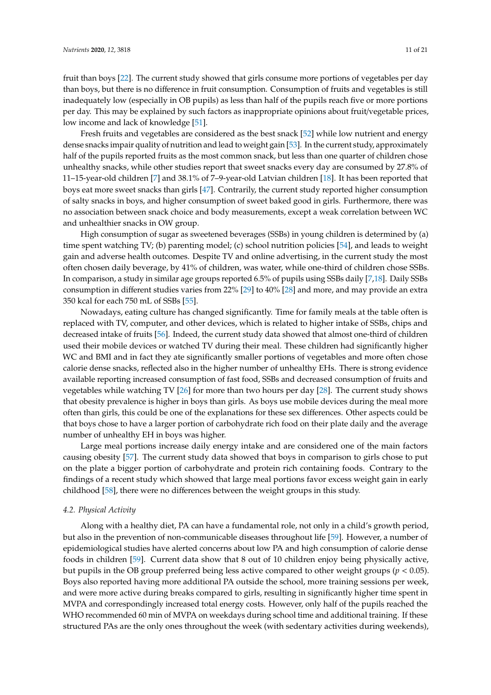fruit than boys [\[22\]](#page-18-0). The current study showed that girls consume more portions of vegetables per day than boys, but there is no difference in fruit consumption. Consumption of fruits and vegetables is still inadequately low (especially in OB pupils) as less than half of the pupils reach five or more portions per day. This may be explained by such factors as inappropriate opinions about fruit/vegetable prices, low income and lack of knowledge [\[51\]](#page-19-7).

Fresh fruits and vegetables are considered as the best snack [\[52\]](#page-19-8) while low nutrient and energy dense snacks impair quality of nutrition and lead to weight gain [\[53\]](#page-19-9). In the current study, approximately half of the pupils reported fruits as the most common snack, but less than one quarter of children chose unhealthy snacks, while other studies report that sweet snacks every day are consumed by 27.8% of 11–15-year-old children [\[7\]](#page-17-4) and 38.1% of 7–9-year-old Latvian children [\[18\]](#page-17-15). It has been reported that boys eat more sweet snacks than girls [\[47\]](#page-19-3). Contrarily, the current study reported higher consumption of salty snacks in boys, and higher consumption of sweet baked good in girls. Furthermore, there was no association between snack choice and body measurements, except a weak correlation between WC and unhealthier snacks in OW group.

High consumption of sugar as sweetened beverages (SSBs) in young children is determined by (a) time spent watching TV; (b) parenting model; (c) school nutrition policies [\[54\]](#page-19-10), and leads to weight gain and adverse health outcomes. Despite TV and online advertising, in the current study the most often chosen daily beverage, by 41% of children, was water, while one-third of children chose SSBs. In comparison, a study in similar age groups reported 6.5% of pupils using SSBs daily [\[7](#page-17-4)[,18\]](#page-17-15). Daily SSBs consumption in different studies varies from 22% [\[29\]](#page-18-16) to 40% [\[28\]](#page-18-6) and more, and may provide an extra 350 kcal for each 750 mL of SSBs [\[55\]](#page-19-11).

Nowadays, eating culture has changed significantly. Time for family meals at the table often is replaced with TV, computer, and other devices, which is related to higher intake of SSBs, chips and decreased intake of fruits [\[56\]](#page-19-12). Indeed, the current study data showed that almost one-third of children used their mobile devices or watched TV during their meal. These children had significantly higher WC and BMI and in fact they ate significantly smaller portions of vegetables and more often chose calorie dense snacks, reflected also in the higher number of unhealthy EHs. There is strong evidence available reporting increased consumption of fast food, SSBs and decreased consumption of fruits and vegetables while watching TV [\[26\]](#page-18-4) for more than two hours per day [\[28\]](#page-18-6). The current study shows that obesity prevalence is higher in boys than girls. As boys use mobile devices during the meal more often than girls, this could be one of the explanations for these sex differences. Other aspects could be that boys chose to have a larger portion of carbohydrate rich food on their plate daily and the average number of unhealthy EH in boys was higher.

Large meal portions increase daily energy intake and are considered one of the main factors causing obesity [\[57\]](#page-19-13). The current study data showed that boys in comparison to girls chose to put on the plate a bigger portion of carbohydrate and protein rich containing foods. Contrary to the findings of a recent study which showed that large meal portions favor excess weight gain in early childhood [\[58\]](#page-19-14), there were no differences between the weight groups in this study.

#### *4.2. Physical Activity*

Along with a healthy diet, PA can have a fundamental role, not only in a child's growth period, but also in the prevention of non-communicable diseases throughout life [\[59\]](#page-19-15). However, a number of epidemiological studies have alerted concerns about low PA and high consumption of calorie dense foods in children [\[59\]](#page-19-15). Current data show that 8 out of 10 children enjoy being physically active, but pupils in the OB group preferred being less active compared to other weight groups ( $p < 0.05$ ). Boys also reported having more additional PA outside the school, more training sessions per week, and were more active during breaks compared to girls, resulting in significantly higher time spent in MVPA and correspondingly increased total energy costs. However, only half of the pupils reached the WHO recommended 60 min of MVPA on weekdays during school time and additional training. If these structured PAs are the only ones throughout the week (with sedentary activities during weekends),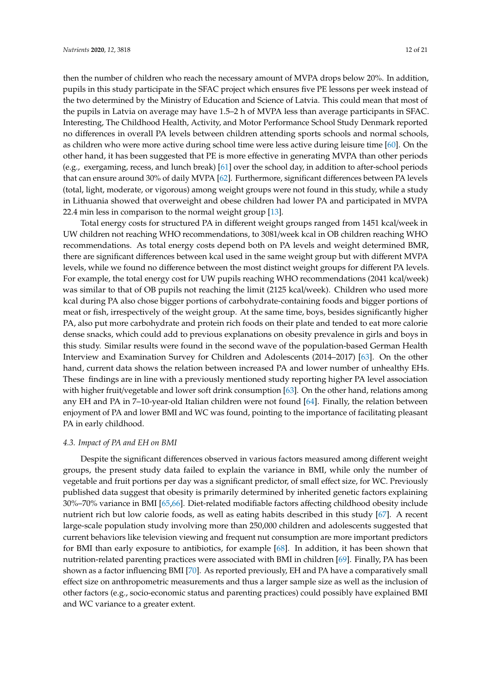then the number of children who reach the necessary amount of MVPA drops below 20%. In addition, pupils in this study participate in the SFAC project which ensures five PE lessons per week instead of the two determined by the Ministry of Education and Science of Latvia. This could mean that most of the pupils in Latvia on average may have 1.5–2 h of MVPA less than average participants in SFAC. Interesting, The Childhood Health, Activity, and Motor Performance School Study Denmark reported no differences in overall PA levels between children attending sports schools and normal schools, as children who were more active during school time were less active during leisure time [\[60\]](#page-19-16). On the other hand, it has been suggested that PE is more effective in generating MVPA than other periods (e.g., exergaming, recess, and lunch break) [\[61\]](#page-19-17) over the school day, in addition to after-school periods that can ensure around 30% of daily MVPA [\[62\]](#page-20-0). Furthermore, significant differences between PA levels (total, light, moderate, or vigorous) among weight groups were not found in this study, while a study in Lithuania showed that overweight and obese children had lower PA and participated in MVPA 22.4 min less in comparison to the normal weight group [\[13\]](#page-17-10).

Total energy costs for structured PA in different weight groups ranged from 1451 kcal/week in UW children not reaching WHO recommendations, to 3081/week kcal in OB children reaching WHO recommendations. As total energy costs depend both on PA levels and weight determined BMR, there are significant differences between kcal used in the same weight group but with different MVPA levels, while we found no difference between the most distinct weight groups for different PA levels. For example, the total energy cost for UW pupils reaching WHO recommendations (2041 kcal/week) was similar to that of OB pupils not reaching the limit (2125 kcal/week). Children who used more kcal during PA also chose bigger portions of carbohydrate-containing foods and bigger portions of meat or fish, irrespectively of the weight group. At the same time, boys, besides significantly higher PA, also put more carbohydrate and protein rich foods on their plate and tended to eat more calorie dense snacks, which could add to previous explanations on obesity prevalence in girls and boys in this study. Similar results were found in the second wave of the population-based German Health Interview and Examination Survey for Children and Adolescents (2014–2017) [\[63\]](#page-20-1). On the other hand, current data shows the relation between increased PA and lower number of unhealthy EHs. These findings are in line with a previously mentioned study reporting higher PA level association with higher fruit/vegetable and lower soft drink consumption [\[63\]](#page-20-1). On the other hand, relations among any EH and PA in 7–10-year-old Italian children were not found [\[64\]](#page-20-2). Finally, the relation between enjoyment of PA and lower BMI and WC was found, pointing to the importance of facilitating pleasant PA in early childhood.

#### *4.3. Impact of PA and EH on BMI*

Despite the significant differences observed in various factors measured among different weight groups, the present study data failed to explain the variance in BMI, while only the number of vegetable and fruit portions per day was a significant predictor, of small effect size, for WC. Previously published data suggest that obesity is primarily determined by inherited genetic factors explaining 30%–70% variance in BMI [\[65,](#page-20-3)[66\]](#page-20-4). Diet-related modifiable factors affecting childhood obesity include nutrient rich but low calorie foods, as well as eating habits described in this study [\[67\]](#page-20-5). A recent large-scale population study involving more than 250,000 children and adolescents suggested that current behaviors like television viewing and frequent nut consumption are more important predictors for BMI than early exposure to antibiotics, for example [\[68\]](#page-20-6). In addition, it has been shown that nutrition-related parenting practices were associated with BMI in children [\[69\]](#page-20-7). Finally, PA has been shown as a factor influencing BMI [\[70\]](#page-20-8). As reported previously, EH and PA have a comparatively small effect size on anthropometric measurements and thus a larger sample size as well as the inclusion of other factors (e.g., socio-economic status and parenting practices) could possibly have explained BMI and WC variance to a greater extent.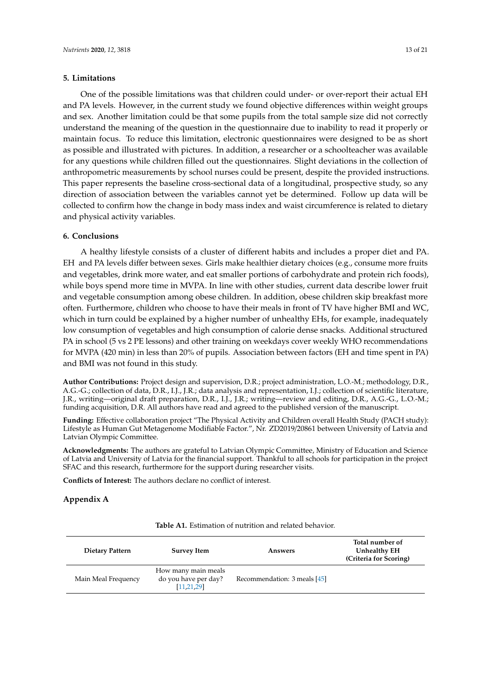#### **5. Limitations**

One of the possible limitations was that children could under- or over-report their actual EH and PA levels. However, in the current study we found objective differences within weight groups and sex. Another limitation could be that some pupils from the total sample size did not correctly understand the meaning of the question in the questionnaire due to inability to read it properly or maintain focus. To reduce this limitation, electronic questionnaires were designed to be as short as possible and illustrated with pictures. In addition, a researcher or a schoolteacher was available for any questions while children filled out the questionnaires. Slight deviations in the collection of anthropometric measurements by school nurses could be present, despite the provided instructions. This paper represents the baseline cross-sectional data of a longitudinal, prospective study, so any direction of association between the variables cannot yet be determined. Follow up data will be collected to confirm how the change in body mass index and waist circumference is related to dietary and physical activity variables.

#### **6. Conclusions**

A healthy lifestyle consists of a cluster of different habits and includes a proper diet and PA. EH and PA levels differ between sexes. Girls make healthier dietary choices (e.g., consume more fruits and vegetables, drink more water, and eat smaller portions of carbohydrate and protein rich foods), while boys spend more time in MVPA. In line with other studies, current data describe lower fruit and vegetable consumption among obese children. In addition, obese children skip breakfast more often. Furthermore, children who choose to have their meals in front of TV have higher BMI and WC, which in turn could be explained by a higher number of unhealthy EHs, for example, inadequately low consumption of vegetables and high consumption of calorie dense snacks. Additional structured PA in school (5 vs 2 PE lessons) and other training on weekdays cover weekly WHO recommendations for MVPA (420 min) in less than 20% of pupils. Association between factors (EH and time spent in PA) and BMI was not found in this study.

**Author Contributions:** Project design and supervision, D.R.; project administration, L.O.-M.; methodology, D.R., A.G.-G.; collection of data, D.R., I.J., J.R.; data analysis and representation, I.J.; collection of scientific literature, J.R., writing—original draft preparation, D.R., I.J., J.R.; writing—review and editing, D.R., A.G.-G., L.O.-M.; funding acquisition, D.R. All authors have read and agreed to the published version of the manuscript.

**Funding:** Effective collaboration project "The Physical Activity and Children overall Health Study (PACH study): Lifestyle as Human Gut Metagenome Modifiable Factor.", Nr. ZD2019/20861 between University of Latvia and Latvian Olympic Committee.

**Acknowledgments:** The authors are grateful to Latvian Olympic Committee, Ministry of Education and Science of Latvia and University of Latvia for the financial support. Thankful to all schools for participation in the project SFAC and this research, furthermore for the support during researcher visits.

**Conflicts of Interest:** The authors declare no conflict of interest.

#### **Appendix A**

|  | <b>Table A1.</b> Estimation of nutrition and related behavior. |  |  |
|--|----------------------------------------------------------------|--|--|
|--|----------------------------------------------------------------|--|--|

| Dietary Pattern     | <b>Survey Item</b>                                          | Answers                      | Total number of<br>Unhealthy EH<br>(Criteria for Scoring) |
|---------------------|-------------------------------------------------------------|------------------------------|-----------------------------------------------------------|
| Main Meal Frequency | How many main meals<br>do you have per day?<br>[11, 21, 29] | Recommendation: 3 meals [45] |                                                           |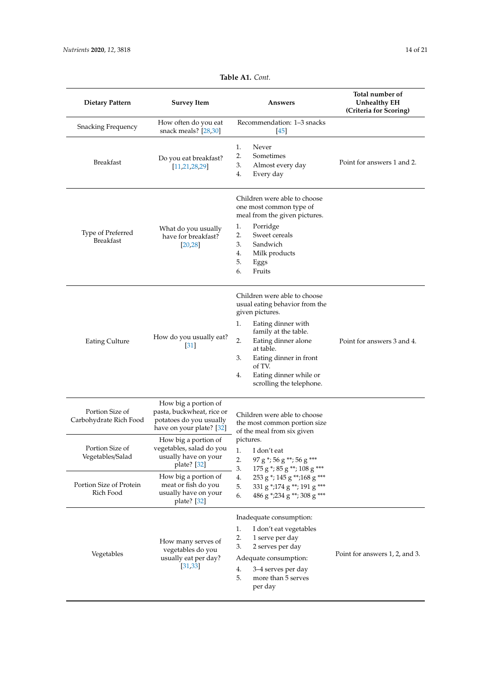| <b>Dietary Pattern</b>                    | <b>Survey Item</b>                                                                                       | Answers                                                                                                                                                                                                                                                                               | Total number of<br><b>Unhealthy EH</b><br>(Criteria for Scoring) |
|-------------------------------------------|----------------------------------------------------------------------------------------------------------|---------------------------------------------------------------------------------------------------------------------------------------------------------------------------------------------------------------------------------------------------------------------------------------|------------------------------------------------------------------|
| <b>Snacking Frequency</b>                 | How often do you eat<br>snack meals? [28,30]                                                             | Recommendation: 1-3 snacks<br>$[45]$                                                                                                                                                                                                                                                  |                                                                  |
| <b>Breakfast</b>                          | Do you eat breakfast?<br>[11, 21, 28, 29]                                                                | 1.<br>Never<br>2.<br>Sometimes<br>3.<br>Almost every day<br>4.<br>Every day                                                                                                                                                                                                           | Point for answers 1 and 2.                                       |
| Type of Preferred<br><b>Breakfast</b>     | What do you usually<br>have for breakfast?<br>[20, 28]                                                   | Children were able to choose<br>one most common type of<br>meal from the given pictures.<br>1.<br>Porridge<br>2.<br>Sweet cereals<br>3.<br>Sandwich<br>4.<br>Milk products<br>5.<br>Eggs<br>Fruits<br>6.                                                                              |                                                                  |
| <b>Eating Culture</b>                     | How do you usually eat?<br>$\left 31\right $                                                             | Children were able to choose<br>usual eating behavior from the<br>given pictures.<br>Eating dinner with<br>1.<br>family at the table.<br>2.<br>Eating dinner alone<br>at table.<br>3.<br>Eating dinner in front<br>of TV.<br>Eating dinner while or<br>4.<br>scrolling the telephone. | Point for answers 3 and 4.                                       |
| Portion Size of<br>Carbohydrate Rich Food | How big a portion of<br>pasta, buckwheat, rice or<br>potatoes do you usually<br>have on your plate? [32] | Children were able to choose<br>the most common portion size<br>of the meal from six given                                                                                                                                                                                            |                                                                  |
| Portion Size of<br>Vegetables/Salad       | How big a portion of<br>vegetables, salad do you<br>usually have on your<br>plate? [32]                  | pictures.<br>I don't eat<br>1.<br>2.<br>97 g *; 56 g **; 56 g ***<br>3.<br>175 g *; 85 g **; 108 g ***                                                                                                                                                                                |                                                                  |
| Portion Size of Protein<br>Rich Food      | How big a portion of<br>meat or fish do you<br>usually have on your<br>plate? [32]                       | 253 g *; 145 g **; 168 g ***<br>4.<br>331 g *; 174 g **; 191 g ***<br>5.<br>486 g *; 234 g **; 308 g ***<br>6.                                                                                                                                                                        |                                                                  |
| Vegetables                                | How many serves of<br>vegetables do you<br>usually eat per day?<br>[31, 33]                              | Inadequate consumption:<br>1.<br>I don't eat vegetables<br>2.<br>1 serve per day<br>3.<br>2 serves per day<br>Adequate consumption:<br>4.<br>3–4 serves per day<br>5.<br>more than 5 serves<br>per day                                                                                | Point for answers 1, 2, and 3.                                   |

# **Table A1.** *Cont.*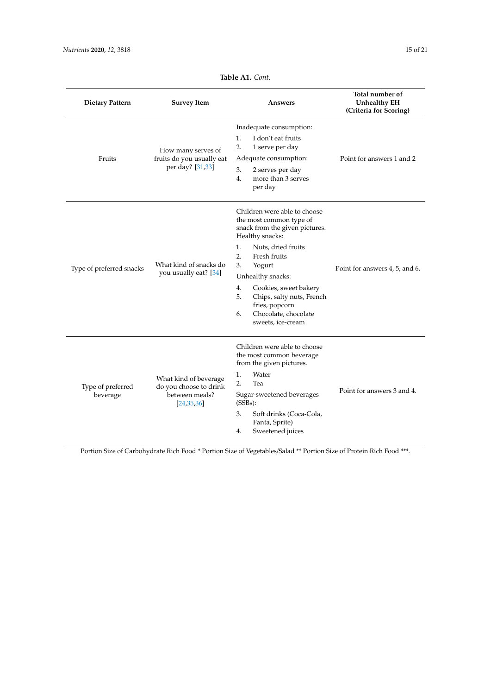<span id="page-14-0"></span>

| <b>Dietary Pattern</b>        | <b>Survey Item</b>                                                                | Answers                                                                                                                                                                                                                                                                                                                                    | Total number of<br><b>Unhealthy EH</b><br>(Criteria for Scoring) |
|-------------------------------|-----------------------------------------------------------------------------------|--------------------------------------------------------------------------------------------------------------------------------------------------------------------------------------------------------------------------------------------------------------------------------------------------------------------------------------------|------------------------------------------------------------------|
| Fruits                        | How many serves of<br>fruits do you usually eat<br>per day? [31,33]               | Inadequate consumption:<br>1.<br>I don't eat fruits<br>2.<br>1 serve per day<br>Adequate consumption:<br>3.<br>2 serves per day<br>4.<br>more than 3 serves<br>per day                                                                                                                                                                     | Point for answers 1 and 2                                        |
| Type of preferred snacks      | What kind of snacks do<br>you usually eat? [34]                                   | Children were able to choose<br>the most common type of<br>snack from the given pictures.<br>Healthy snacks:<br>1.<br>Nuts, dried fruits<br>2.<br>Fresh fruits<br>3.<br>Yogurt<br>Unhealthy snacks:<br>4.<br>Cookies, sweet bakery<br>5.<br>Chips, salty nuts, French<br>fries, popcorn<br>Chocolate, chocolate<br>6.<br>sweets, ice-cream | Point for answers 4, 5, and 6.                                   |
| Type of preferred<br>beverage | What kind of beverage<br>do you choose to drink<br>between meals?<br>[24, 35, 36] | Children were able to choose<br>the most common beverage<br>from the given pictures.<br>Water<br>1.<br>2.<br>Tea<br>Sugar-sweetened beverages<br>(SSBs):<br>3.<br>Soft drinks (Coca-Cola,<br>Fanta, Sprite)<br>Sweetened juices<br>4.                                                                                                      | Point for answers 3 and 4.                                       |

**Table A1.** *Cont.*

Portion Size of Carbohydrate Rich Food \* Portion Size of Vegetables/Salad \*\* Portion Size of Protein Rich Food \*\*\*.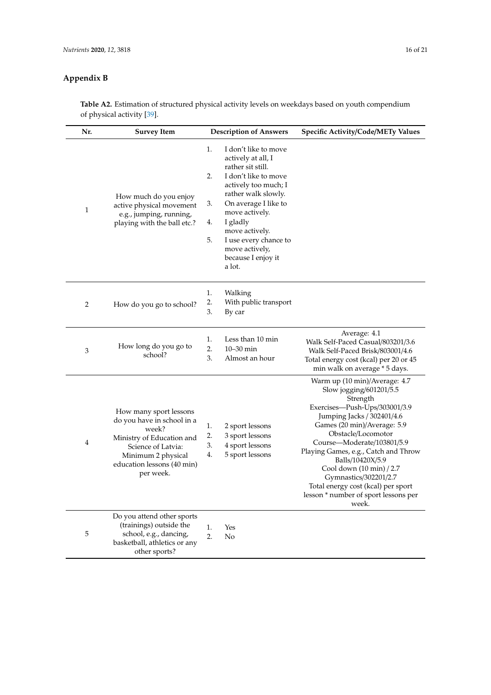# **Appendix B**

**Table A2.** Estimation of structured physical activity levels on weekdays based on youth compendium of physical activity [\[39\]](#page-18-11).

| Nr.            | <b>Survey Item</b>                                                                                                                                                                | <b>Description of Answers</b>                                                                                                                                                                                                                                                                                           | <b>Specific Activity/Code/METy Values</b>                                                                                                                                                                                                                                                                                                                                                                                      |
|----------------|-----------------------------------------------------------------------------------------------------------------------------------------------------------------------------------|-------------------------------------------------------------------------------------------------------------------------------------------------------------------------------------------------------------------------------------------------------------------------------------------------------------------------|--------------------------------------------------------------------------------------------------------------------------------------------------------------------------------------------------------------------------------------------------------------------------------------------------------------------------------------------------------------------------------------------------------------------------------|
| 1              | How much do you enjoy<br>active physical movement<br>e.g., jumping, running,<br>playing with the ball etc.?                                                                       | 1.<br>I don't like to move<br>actively at all, I<br>rather sit still.<br>2.<br>I don't like to move<br>actively too much; I<br>rather walk slowly.<br>3.<br>On average I like to<br>move actively.<br>4.<br>I gladly<br>move actively.<br>5.<br>I use every chance to<br>move actively,<br>because I enjoy it<br>a lot. |                                                                                                                                                                                                                                                                                                                                                                                                                                |
| 2              | How do you go to school?                                                                                                                                                          | 1.<br>Walking<br>2.<br>With public transport<br>3.<br>By car                                                                                                                                                                                                                                                            |                                                                                                                                                                                                                                                                                                                                                                                                                                |
| 3              | How long do you go to<br>school?                                                                                                                                                  | 1.<br>Less than 10 min<br>2.<br>10-30 min<br>3.<br>Almost an hour                                                                                                                                                                                                                                                       | Average: 4.1<br>Walk Self-Paced Casual/803201/3.6<br>Walk Self-Paced Brisk/803001/4.6<br>Total energy cost (kcal) per 20 or 45<br>min walk on average * 5 days.                                                                                                                                                                                                                                                                |
| $\overline{4}$ | How many sport lessons<br>do you have in school in a<br>week?<br>Ministry of Education and<br>Science of Latvia:<br>Minimum 2 physical<br>education lessons (40 min)<br>per week. | 1.<br>2 sport lessons<br>2.<br>3 sport lessons<br>3.<br>4 sport lessons<br>5 sport lessons<br>4.                                                                                                                                                                                                                        | Warm up (10 min)/Average: 4.7<br>Slow jogging/601201/5.5<br>Strength<br>Exercises-Push-Ups/303001/3.9<br>Jumping Jacks / 302401/4.6<br>Games (20 min)/Average: 5.9<br>Obstacle/Locomotor<br>Course—Moderate/103801/5.9<br>Playing Games, e.g., Catch and Throw<br>Balls/10420X/5.9<br>Cool down (10 min) / 2.7<br>Gymnastics/302201/2.7<br>Total energy cost (kcal) per sport<br>lesson * number of sport lessons per<br>week. |
| 5              | Do you attend other sports<br>(trainings) outside the<br>school, e.g., dancing,<br>basketball, athletics or any<br>other sports?                                                  | 1.<br>Yes<br>2.<br>No                                                                                                                                                                                                                                                                                                   |                                                                                                                                                                                                                                                                                                                                                                                                                                |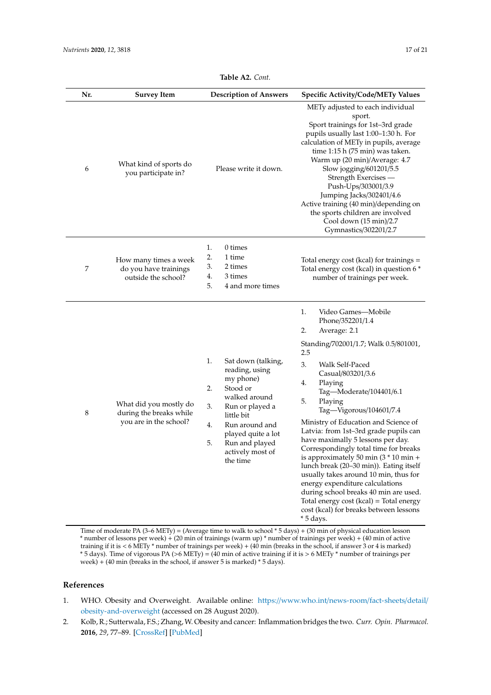<span id="page-16-2"></span>

| Nr. | <b>Survey Item</b>                                                          | <b>Description of Answers</b>                                                                                                                                                                                                           | <b>Specific Activity/Code/METy Values</b>                                                                                                                                                                                                                                                                                                                                                                                                                                                                                                                                                                                                                                                                                            |
|-----|-----------------------------------------------------------------------------|-----------------------------------------------------------------------------------------------------------------------------------------------------------------------------------------------------------------------------------------|--------------------------------------------------------------------------------------------------------------------------------------------------------------------------------------------------------------------------------------------------------------------------------------------------------------------------------------------------------------------------------------------------------------------------------------------------------------------------------------------------------------------------------------------------------------------------------------------------------------------------------------------------------------------------------------------------------------------------------------|
| 6   | What kind of sports do<br>you participate in?                               | Please write it down.                                                                                                                                                                                                                   | METy adjusted to each individual<br>sport.<br>Sport trainings for 1st-3rd grade<br>pupils usually last 1:00-1:30 h. For<br>calculation of METy in pupils, average<br>time 1:15 h (75 min) was taken.<br>Warm up (20 min)/Average: 4.7<br>Slow jogging/601201/5.5<br>Strength Exercises -<br>Push-Ups/303001/3.9<br>Jumping Jacks/302401/4.6<br>Active training (40 min)/depending on<br>the sports children are involved<br>Cool down (15 min)/2.7<br>Gymnastics/302201/2.7                                                                                                                                                                                                                                                          |
| 7   | How many times a week<br>do you have trainings<br>outside the school?       | 1.<br>0 times<br>2.<br>1 time<br>3.<br>2 times<br>3 times<br>4.<br>5.<br>4 and more times                                                                                                                                               | Total energy cost (kcal) for trainings =<br>Total energy cost (kcal) in question 6 *<br>number of trainings per week.                                                                                                                                                                                                                                                                                                                                                                                                                                                                                                                                                                                                                |
| 8   | What did you mostly do<br>during the breaks while<br>you are in the school? | 1.<br>Sat down (talking,<br>reading, using<br>my phone)<br>Stood or<br>2.<br>walked around<br>3.<br>Run or played a<br>little bit<br>4.<br>Run around and<br>played quite a lot<br>5.<br>Run and played<br>actively most of<br>the time | 1.<br>Video Games-Mobile<br>Phone/352201/1.4<br>2.<br>Average: 2.1<br>Standing/702001/1.7; Walk 0.5/801001,<br>2.5<br>3.<br>Walk Self-Paced<br>Casual/803201/3.6<br>4.<br>Playing<br>Tag-Moderate/104401/6.1<br>5.<br>Playing<br>Tag-Vigorous/104601/7.4<br>Ministry of Education and Science of<br>Latvia: from 1st-3rd grade pupils can<br>have maximally 5 lessons per day.<br>Correspondingly total time for breaks<br>is approximately 50 min $(3 * 10$ min +<br>lunch break (20-30 min)). Eating itself<br>usually takes around 10 min, thus for<br>energy expenditure calculations<br>during school breaks 40 min are used.<br>Total energy cost (kcal) = Total energy<br>cost (kcal) for breaks between lessons<br>* 5 days. |

**Table A2.** *Cont.*

Time of moderate PA (3–6 METy) = (Average time to walk to school \* 5 days) + (30 min of physical education lesson \* number of lessons per week) + (20 min of trainings (warm up) \* number of trainings per week) + (40 min of active training if it is < 6 METy \* number of trainings per week) + (40 min (breaks in the school, if answer 3 or 4 is marked) \* 5 days). Time of vigorous PA (>6 METy) = (40 min of active training if it is > 6 METy \* number of trainings per week) + (40 min (breaks in the school, if answer 5 is marked) \* 5 days).

## **References**

- <span id="page-16-0"></span>1. WHO. Obesity and Overweight. Available online: https://[www.who.int](https://www.who.int/news-room/fact-sheets/detail/obesity-and-overweight)/news-room/fact-sheets/detail/ [obesity-and-overweight](https://www.who.int/news-room/fact-sheets/detail/obesity-and-overweight) (accessed on 28 August 2020).
- <span id="page-16-1"></span>2. Kolb, R.; Sutterwala, F.S.; Zhang, W. Obesity and cancer: Inflammation bridges the two. *Curr. Opin. Pharmacol.* **2016**, *29*, 77–89. [\[CrossRef\]](http://dx.doi.org/10.1016/j.coph.2016.07.005) [\[PubMed\]](http://www.ncbi.nlm.nih.gov/pubmed/27429211)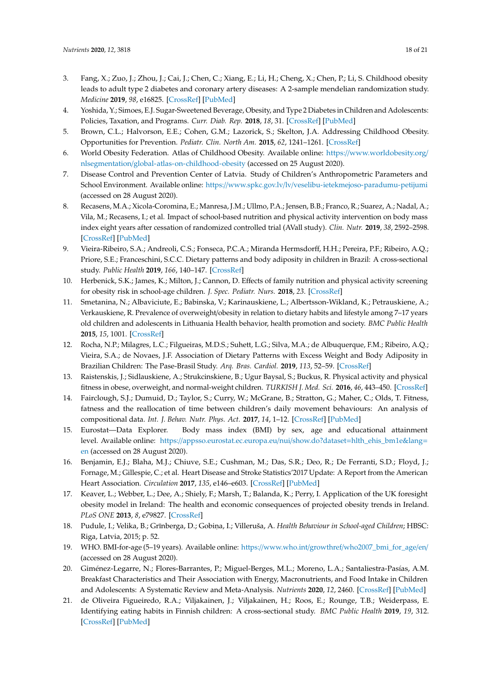- <span id="page-17-0"></span>3. Fang, X.; Zuo, J.; Zhou, J.; Cai, J.; Chen, C.; Xiang, E.; Li, H.; Cheng, X.; Chen, P.; Li, S. Childhood obesity leads to adult type 2 diabetes and coronary artery diseases: A 2-sample mendelian randomization study. *Medicine* **2019**, *98*, e16825. [\[CrossRef\]](http://dx.doi.org/10.1097/MD.0000000000016825) [\[PubMed\]](http://www.ncbi.nlm.nih.gov/pubmed/31393416)
- <span id="page-17-1"></span>4. Yoshida, Y.; Simoes, E.J. Sugar-Sweetened Beverage, Obesity, and Type 2 Diabetes in Children and Adolescents: Policies, Taxation, and Programs. *Curr. Diab. Rep.* **2018**, *18*, 31. [\[CrossRef\]](http://dx.doi.org/10.1007/s11892-018-1004-6) [\[PubMed\]](http://www.ncbi.nlm.nih.gov/pubmed/29671076)
- <span id="page-17-2"></span>5. Brown, C.L.; Halvorson, E.E.; Cohen, G.M.; Lazorick, S.; Skelton, J.A. Addressing Childhood Obesity. Opportunities for Prevention. *Pediatr. Clin. North Am.* **2015**, *62*, 1241–1261. [\[CrossRef\]](http://dx.doi.org/10.1016/j.pcl.2015.05.013)
- <span id="page-17-3"></span>6. World Obesity Federation. Atlas of Childhood Obesity. Available online: https://[www.worldobesity.org](https://www.worldobesity.org/nlsegmentation/global-atlas-on-childhood-obesity)/ nlsegmentation/[global-atlas-on-childhood-obesity](https://www.worldobesity.org/nlsegmentation/global-atlas-on-childhood-obesity) (accessed on 25 August 2020).
- <span id="page-17-4"></span>7. Disease Control and Prevention Center of Latvia. Study of Children's Anthropometric Parameters and School Environment. Available online: https://www.spkc.gov.lv/lv/[veselibu-ietekmejoso-paradumu-petijumi](https://www.spkc.gov.lv/lv/veselibu-ietekmejoso-paradumu-petijumi) (accessed on 28 August 2020).
- <span id="page-17-5"></span>8. Recasens, M.A.; Xicola-Coromina, E.; Manresa, J.M.; Ullmo, P.A.; Jensen, B.B.; Franco, R.; Suarez, A.; Nadal, A.; Vila, M.; Recasens, I.; et al. Impact of school-based nutrition and physical activity intervention on body mass index eight years after cessation of randomized controlled trial (AVall study). *Clin. Nutr.* **2019**, *38*, 2592–2598. [\[CrossRef\]](http://dx.doi.org/10.1016/j.clnu.2018.12.029) [\[PubMed\]](http://www.ncbi.nlm.nih.gov/pubmed/30737048)
- <span id="page-17-6"></span>9. Vieira-Ribeiro, S.A.; Andreoli, C.S.; Fonseca, P.C.A.; Miranda Hermsdorff, H.H.; Pereira, P.F.; Ribeiro, A.Q.; Priore, S.E.; Franceschini, S.C.C. Dietary patterns and body adiposity in children in Brazil: A cross-sectional study. *Public Health* **2019**, *166*, 140–147. [\[CrossRef\]](http://dx.doi.org/10.1016/j.puhe.2018.10.002)
- <span id="page-17-7"></span>10. Herbenick, S.K.; James, K.; Milton, J.; Cannon, D. Effects of family nutrition and physical activity screening for obesity risk in school-age children. *J. Spec. Pediatr. Nurs.* **2018**, *23*. [\[CrossRef\]](http://dx.doi.org/10.1111/jspn.12229)
- <span id="page-17-8"></span>11. Smetanina, N.; Albaviciute, E.; Babinska, V.; Karinauskiene, L.; Albertsson-Wikland, K.; Petrauskiene, A.; Verkauskiene, R. Prevalence of overweight/obesity in relation to dietary habits and lifestyle among 7–17 years old children and adolescents in Lithuania Health behavior, health promotion and society. *BMC Public Health* **2015**, *15*, 1001. [\[CrossRef\]](http://dx.doi.org/10.1186/s12889-015-2340-y)
- <span id="page-17-9"></span>12. Rocha, N.P.; Milagres, L.C.; Filgueiras, M.D.S.; Suhett, L.G.; Silva, M.A.; de Albuquerque, F.M.; Ribeiro, A.Q.; Vieira, S.A.; de Novaes, J.F. Association of Dietary Patterns with Excess Weight and Body Adiposity in Brazilian Children: The Pase-Brasil Study. *Arq. Bras. Cardiol.* **2019**, *113*, 52–59. [\[CrossRef\]](http://dx.doi.org/10.5935/abc.20190113)
- <span id="page-17-10"></span>13. Raistenskis, J.; Sidlauskiene, A.; Strukcinskiene, B.; Ugur Baysal, S.; Buckus, R. Physical activity and physical fitness in obese, overweight, and normal-weight children. *TURKISH J. Med. Sci.* **2016**, *46*, 443–450. [\[CrossRef\]](http://dx.doi.org/10.3906/sag-1411-119)
- <span id="page-17-11"></span>14. Fairclough, S.J.; Dumuid, D.; Taylor, S.; Curry, W.; McGrane, B.; Stratton, G.; Maher, C.; Olds, T. Fitness, fatness and the reallocation of time between children's daily movement behaviours: An analysis of compositional data. *Int. J. Behav. Nutr. Phys. Act.* **2017**, *14*, 1–12. [\[CrossRef\]](http://dx.doi.org/10.1186/s12966-017-0521-z) [\[PubMed\]](http://www.ncbi.nlm.nih.gov/pubmed/28486972)
- <span id="page-17-12"></span>15. Eurostat—Data Explorer. Body mass index (BMI) by sex, age and educational attainment level. Available online: https://[appsso.eurostat.ec.europa.eu](https://appsso.eurostat.ec.europa.eu/nui/show.do?dataset=hlth_ehis_bm1e&lang=en)/nui/show.do?dataset=hlth\_ehis\_bm1e&lang= [en](https://appsso.eurostat.ec.europa.eu/nui/show.do?dataset=hlth_ehis_bm1e&lang=en) (accessed on 28 August 2020).
- <span id="page-17-13"></span>16. Benjamin, E.J.; Blaha, M.J.; Chiuve, S.E.; Cushman, M.; Das, S.R.; Deo, R.; De Ferranti, S.D.; Floyd, J.; Fornage, M.; Gillespie, C.; et al. Heart Disease and Stroke Statistics'2017 Update: A Report from the American Heart Association. *Circulation* **2017**, *135*, e146–e603. [\[CrossRef\]](http://dx.doi.org/10.1161/CIR.0000000000000485) [\[PubMed\]](http://www.ncbi.nlm.nih.gov/pubmed/28122885)
- <span id="page-17-14"></span>17. Keaver, L.; Webber, L.; Dee, A.; Shiely, F.; Marsh, T.; Balanda, K.; Perry, I. Application of the UK foresight obesity model in Ireland: The health and economic consequences of projected obesity trends in Ireland. *PLoS ONE* **2013**, *8*, e79827. [\[CrossRef\]](http://dx.doi.org/10.1371/annotation/3dd20b6b-2a94-4542-a058-2cc7effe881a)
- <span id="page-17-15"></span>18. Pudule, I.; Velika, B.; Grīnberga, D.; Gobiņa, I.; Villeruša, A. *Health Behaviour in School-aged Children*; HBSC: Riga, Latvia, 2015; p. 52.
- <span id="page-17-16"></span>19. WHO. BMI-for-age (5–19 years). Available online: https://www.who.int/growthref/[who2007\\_bmi\\_for\\_age](https://www.who.int/growthref/who2007_bmi_for_age/en/)/en/ (accessed on 28 August 2020).
- <span id="page-17-17"></span>20. Giménez-Legarre, N.; Flores-Barrantes, P.; Miguel-Berges, M.L.; Moreno, L.A.; Santaliestra-Pasías, A.M. Breakfast Characteristics and Their Association with Energy, Macronutrients, and Food Intake in Children and Adolescents: A Systematic Review and Meta-Analysis. *Nutrients* **2020**, *12*, 2460. [\[CrossRef\]](http://dx.doi.org/10.3390/nu12082460) [\[PubMed\]](http://www.ncbi.nlm.nih.gov/pubmed/32824257)
- <span id="page-17-18"></span>21. de Oliveira Figueiredo, R.A.; Viljakainen, J.; Viljakainen, H.; Roos, E.; Rounge, T.B.; Weiderpass, E. Identifying eating habits in Finnish children: A cross-sectional study. *BMC Public Health* **2019**, *19*, 312. [\[CrossRef\]](http://dx.doi.org/10.1186/s12889-019-6603-x) [\[PubMed\]](http://www.ncbi.nlm.nih.gov/pubmed/30876472)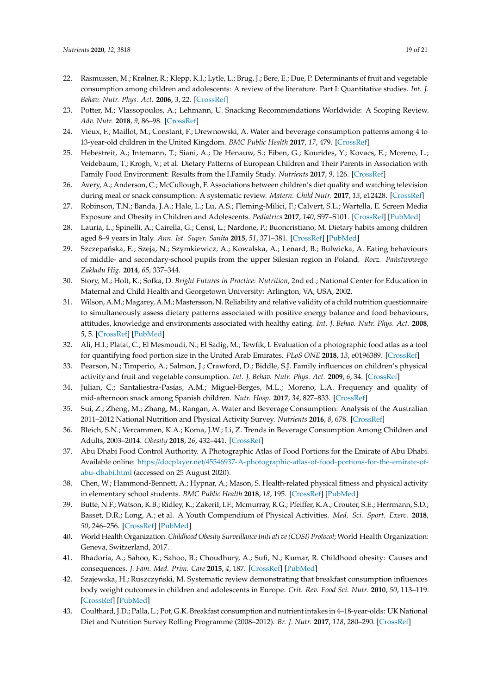- <span id="page-18-0"></span>22. Rasmussen, M.; Krølner, R.; Klepp, K.I.; Lytle, L.; Brug, J.; Bere, E.; Due, P. Determinants of fruit and vegetable consumption among children and adolescents: A review of the literature. Part I: Quantitative studies. *Int. J. Behav. Nutr. Phys. Act.* **2006**, *3*, 22. [\[CrossRef\]](http://dx.doi.org/10.1186/1479-5868-3-22)
- <span id="page-18-1"></span>23. Potter, M.; Vlassopoulos, A.; Lehmann, U. Snacking Recommendations Worldwide: A Scoping Review. *Adv. Nutr.* **2018**, *9*, 86–98. [\[CrossRef\]](http://dx.doi.org/10.1093/advances/nmx003)
- <span id="page-18-2"></span>24. Vieux, F.; Maillot, M.; Constant, F.; Drewnowski, A. Water and beverage consumption patterns among 4 to 13-year-old children in the United Kingdom. *BMC Public Health* **2017**, *17*, 479. [\[CrossRef\]](http://dx.doi.org/10.1186/s12889-017-4400-y)
- <span id="page-18-3"></span>25. Hebestreit, A.; Intemann, T.; Siani, A.; De Henauw, S.; Eiben, G.; Kourides, Y.; Kovacs, E.; Moreno, L.; Veidebaum, T.; Krogh, V.; et al. Dietary Patterns of European Children and Their Parents in Association with Family Food Environment: Results from the I.Family Study. *Nutrients* **2017**, *9*, 126. [\[CrossRef\]](http://dx.doi.org/10.3390/nu9020126)
- <span id="page-18-4"></span>26. Avery, A.; Anderson, C.; McCullough, F. Associations between children's diet quality and watching television during meal or snack consumption: A systematic review. *Matern. Child Nutr.* **2017**, *13*, e12428. [\[CrossRef\]](http://dx.doi.org/10.1111/mcn.12428)
- <span id="page-18-5"></span>27. Robinson, T.N.; Banda, J.A.; Hale, L.; Lu, A.S.; Fleming-Milici, F.; Calvert, S.L.; Wartella, E. Screen Media Exposure and Obesity in Children and Adolescents. *Pediatrics* **2017**, *140*, S97–S101. [\[CrossRef\]](http://dx.doi.org/10.1542/peds.2016-1758K) [\[PubMed\]](http://www.ncbi.nlm.nih.gov/pubmed/29093041)
- <span id="page-18-6"></span>28. Lauria, L.; Spinelli, A.; Cairella, G.; Censi, L.; Nardone, P.; Buoncristiano, M. Dietary habits among children aged 8–9 years in Italy. *Ann. Ist. Super. Sanita* **2015**, *51*, 371–381. [\[CrossRef\]](http://dx.doi.org/10.4415/ANN_15_04_20) [\[PubMed\]](http://www.ncbi.nlm.nih.gov/pubmed/26783227)
- <span id="page-18-16"></span>29. Szczepańska, E.; Szeja, N.; Szymkiewicz, A.; Kowalska, A.; Lenard, B.; Bulwicka, A. Eating behaviours of middle- and secondary-school pupils from the upper Silesian region in Poland. *Rocz. Państwowego Zakładu Hig.* **2014**, *65*, 337–344.
- <span id="page-18-17"></span>30. Story, M.; Holt, K.; Sofka, D. *Bright Futures in Practice: Nutrition*, 2nd ed.; National Center for Education in Maternal and Child Health and Georgetown University: Arlington, VA, USA, 2002.
- <span id="page-18-18"></span>31. Wilson, A.M.; Magarey, A.M.; Mastersson, N. Reliability and relative validity of a child nutrition questionnaire to simultaneously assess dietary patterns associated with positive energy balance and food behaviours, attitudes, knowledge and environments associated with healthy eating. *Int. J. Behav. Nutr. Phys. Act.* **2008**, *5*, 5. [\[CrossRef\]](http://dx.doi.org/10.1186/1479-5868-5-5) [\[PubMed\]](http://www.ncbi.nlm.nih.gov/pubmed/18226268)
- <span id="page-18-9"></span>32. Ali, H.I.; Platat, C.; El Mesmoudi, N.; El Sadig, M.; Tewfik, I. Evaluation of a photographic food atlas as a tool for quantifying food portion size in the United Arab Emirates. *PLoS ONE* **2018**, *13*, e0196389. [\[CrossRef\]](http://dx.doi.org/10.1371/journal.pone.0196389)
- <span id="page-18-19"></span>33. Pearson, N.; Timperio, A.; Salmon, J.; Crawford, D.; Biddle, S.J. Family influences on children's physical activity and fruit and vegetable consumption. *Int. J. Behav. Nutr. Phys. Act.* **2009**, *6*, 34. [\[CrossRef\]](http://dx.doi.org/10.1186/1479-5868-6-34)
- <span id="page-18-20"></span>34. Julian, C.; Santaliestra-Pasías, A.M.; Miguel-Berges, M.L.; Moreno, L.A. Frequency and quality of mid-afternoon snack among Spanish children. *Nutr. Hosp.* **2017**, *34*, 827–833. [\[CrossRef\]](http://dx.doi.org/10.20960/nh.918)
- <span id="page-18-21"></span>35. Sui, Z.; Zheng, M.; Zhang, M.; Rangan, A. Water and Beverage Consumption: Analysis of the Australian 2011–2012 National Nutrition and Physical Activity Survey. *Nutrients* **2016**, *8*, 678. [\[CrossRef\]](http://dx.doi.org/10.3390/nu8110678)
- <span id="page-18-7"></span>36. Bleich, S.N.; Vercammen, K.A.; Koma, J.W.; Li, Z. Trends in Beverage Consumption Among Children and Adults, 2003–2014. *Obesity* **2018**, *26*, 432–441. [\[CrossRef\]](http://dx.doi.org/10.1002/oby.22056)
- <span id="page-18-8"></span>37. Abu Dhabi Food Control Authority. A Photographic Atlas of Food Portions for the Emirate of Abu Dhabi. Available online: https://docplayer.net/[45546937-A-photographic-atlas-of-food-portions-for-the-emirate-of](https://docplayer.net/45546937-A-photographic-atlas-of-food-portions-for-the-emirate-of-abu-dhabi.html)[abu-dhabi.html](https://docplayer.net/45546937-A-photographic-atlas-of-food-portions-for-the-emirate-of-abu-dhabi.html) (accessed on 25 August 2020).
- <span id="page-18-10"></span>38. Chen, W.; Hammond-Bennett, A.; Hypnar, A.; Mason, S. Health-related physical fitness and physical activity in elementary school students. *BMC Public Health* **2018**, *18*, 195. [\[CrossRef\]](http://dx.doi.org/10.1186/s12889-018-5107-4) [\[PubMed\]](http://www.ncbi.nlm.nih.gov/pubmed/29378563)
- <span id="page-18-11"></span>39. Butte, N.F.; Watson, K.B.; Ridley, K.; ZakeriI, I.F.; Mcmurray, R.G.; Pfeiffer, K.A.; Crouter, S.E.; Herrmann, S.D.; Basset, D.R.; Long, A.; et al. A Youth Compendium of Physical Activities. *Med. Sci. Sport. Exerc.* **2018**, *50*, 246–256. [\[CrossRef\]](http://dx.doi.org/10.1249/MSS.0000000000001430) [\[PubMed\]](http://www.ncbi.nlm.nih.gov/pubmed/28938248)
- <span id="page-18-12"></span>40. World Health Organization. *Childhood Obesity Surveillance Initi ati ve (COSI) Protocol*; World Health Organization: Geneva, Switzerland, 2017.
- <span id="page-18-13"></span>41. Bhadoria, A.; Sahoo, K.; Sahoo, B.; Choudhury, A.; Sufi, N.; Kumar, R. Childhood obesity: Causes and consequences. *J. Fam. Med. Prim. Care* **2015**, *4*, 187. [\[CrossRef\]](http://dx.doi.org/10.4103/2249-4863.154628) [\[PubMed\]](http://www.ncbi.nlm.nih.gov/pubmed/25949965)
- <span id="page-18-14"></span>42. Szajewska, H.; Ruszczyński, M. Systematic review demonstrating that breakfast consumption influences body weight outcomes in children and adolescents in Europe. *Crit. Rev. Food Sci. Nutr.* **2010**, *50*, 113–119. [\[CrossRef\]](http://dx.doi.org/10.1080/10408390903467514) [\[PubMed\]](http://www.ncbi.nlm.nih.gov/pubmed/20112153)
- <span id="page-18-15"></span>43. Coulthard, J.D.; Palla, L.; Pot, G.K. Breakfast consumption and nutrient intakes in 4–18-year-olds: UK National Diet and Nutrition Survey Rolling Programme (2008–2012). *Br. J. Nutr.* **2017**, *118*, 280–290. [\[CrossRef\]](http://dx.doi.org/10.1017/S0007114517001714)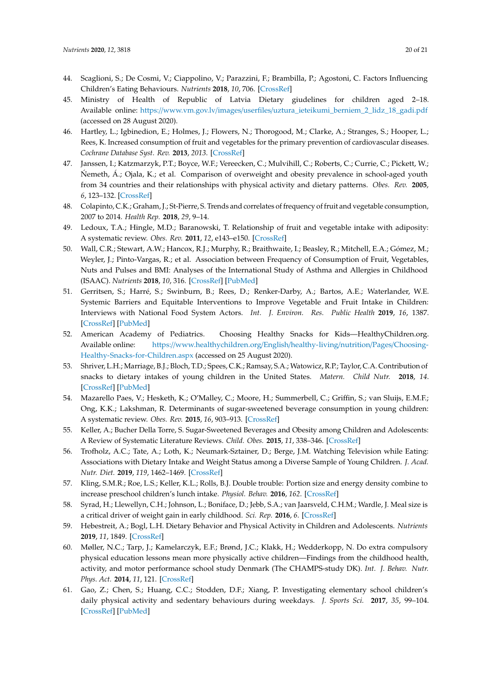- <span id="page-19-0"></span>44. Scaglioni, S.; De Cosmi, V.; Ciappolino, V.; Parazzini, F.; Brambilla, P.; Agostoni, C. Factors Influencing Children's Eating Behaviours. *Nutrients* **2018**, *10*, 706. [\[CrossRef\]](http://dx.doi.org/10.3390/nu10060706)
- <span id="page-19-1"></span>45. Ministry of Health of Republic of Latvia Dietary giudelines for children aged 2–18. Available online: https://www.vm.gov.lv/images/userfiles/[uztura\\_ieteikumi\\_berniem\\_2\\_lidz\\_18\\_gadi.pdf](https://www.vm.gov.lv/images/userfiles/uztura_ieteikumi_berniem_2_lidz_18_gadi.pdf) (accessed on 28 August 2020).
- <span id="page-19-2"></span>46. Hartley, L.; Igbinedion, E.; Holmes, J.; Flowers, N.; Thorogood, M.; Clarke, A.; Stranges, S.; Hooper, L.; Rees, K. Increased consumption of fruit and vegetables for the primary prevention of cardiovascular diseases. *Cochrane Database Syst. Rev.* **2013**, *2013*. [\[CrossRef\]](http://dx.doi.org/10.1002/14651858.CD009874.pub2)
- <span id="page-19-3"></span>47. Janssen, I.; Katzmarzyk, P.T.; Boyce, W.F.; Vereecken, C.; Mulvihill, C.; Roberts, C.; Currie, C.; Pickett, W.; Nemeth, A.; Ojala, K.; et al. Comparison of overweight and obesity prevalence in school-aged youth from 34 countries and their relationships with physical activity and dietary patterns. *Obes. Rev.* **2005**, *6*, 123–132. [\[CrossRef\]](http://dx.doi.org/10.1111/j.1467-789X.2005.00176.x)
- <span id="page-19-4"></span>48. Colapinto, C.K.; Graham, J.; St-Pierre, S. Trends and correlates of frequency of fruit and vegetable consumption, 2007 to 2014. *Health Rep.* **2018**, *29*, 9–14.
- <span id="page-19-5"></span>49. Ledoux, T.A.; Hingle, M.D.; Baranowski, T. Relationship of fruit and vegetable intake with adiposity: A systematic review. *Obes. Rev.* **2011**, *12*, e143–e150. [\[CrossRef\]](http://dx.doi.org/10.1111/j.1467-789X.2010.00786.x)
- <span id="page-19-6"></span>50. Wall, C.R.; Stewart, A.W.; Hancox, R.J.; Murphy, R.; Braithwaite, I.; Beasley, R.; Mitchell, E.A.; Gómez, M.; Weyler, J.; Pinto-Vargas, R.; et al. Association between Frequency of Consumption of Fruit, Vegetables, Nuts and Pulses and BMI: Analyses of the International Study of Asthma and Allergies in Childhood (ISAAC). *Nutrients* **2018**, *10*, 316. [\[CrossRef\]](http://dx.doi.org/10.3390/nu10030316) [\[PubMed\]](http://www.ncbi.nlm.nih.gov/pubmed/29518923)
- <span id="page-19-7"></span>51. Gerritsen, S.; Harré, S.; Swinburn, B.; Rees, D.; Renker-Darby, A.; Bartos, A.E.; Waterlander, W.E. Systemic Barriers and Equitable Interventions to Improve Vegetable and Fruit Intake in Children: Interviews with National Food System Actors. *Int. J. Environ. Res. Public Health* **2019**, *16*, 1387. [\[CrossRef\]](http://dx.doi.org/10.3390/ijerph16081387) [\[PubMed\]](http://www.ncbi.nlm.nih.gov/pubmed/30999659)
- <span id="page-19-8"></span>52. American Academy of Pediatrics. Choosing Healthy Snacks for Kids—HealthyChildren.org. Available online: https://[www.healthychildren.org](https://www.healthychildren.org/English/healthy-living/nutrition/Pages/Choosing-Healthy-Snacks-for-Children.aspx)/English/healthy-living/nutrition/Pages/Choosing-[Healthy-Snacks-for-Children.aspx](https://www.healthychildren.org/English/healthy-living/nutrition/Pages/Choosing-Healthy-Snacks-for-Children.aspx) (accessed on 25 August 2020).
- <span id="page-19-9"></span>53. Shriver, L.H.; Marriage, B.J.; Bloch, T.D.; Spees, C.K.; Ramsay, S.A.; Watowicz, R.P.; Taylor, C.A. Contribution of snacks to dietary intakes of young children in the United States. *Matern. Child Nutr.* **2018**, *14*. [\[CrossRef\]](http://dx.doi.org/10.1111/mcn.12454) [\[PubMed\]](http://www.ncbi.nlm.nih.gov/pubmed/28337856)
- <span id="page-19-10"></span>54. Mazarello Paes, V.; Hesketh, K.; O'Malley, C.; Moore, H.; Summerbell, C.; Griffin, S.; van Sluijs, E.M.F.; Ong, K.K.; Lakshman, R. Determinants of sugar-sweetened beverage consumption in young children: A systematic review. *Obes. Rev.* **2015**, *16*, 903–913. [\[CrossRef\]](http://dx.doi.org/10.1111/obr.12310)
- <span id="page-19-11"></span>55. Keller, A.; Bucher Della Torre, S. Sugar-Sweetened Beverages and Obesity among Children and Adolescents: A Review of Systematic Literature Reviews. *Child. Obes.* **2015**, *11*, 338–346. [\[CrossRef\]](http://dx.doi.org/10.1089/chi.2014.0117)
- <span id="page-19-12"></span>56. Trofholz, A.C.; Tate, A.; Loth, K.; Neumark-Sztainer, D.; Berge, J.M. Watching Television while Eating: Associations with Dietary Intake and Weight Status among a Diverse Sample of Young Children. *J. Acad. Nutr. Diet.* **2019**, *119*, 1462–1469. [\[CrossRef\]](http://dx.doi.org/10.1016/j.jand.2019.02.013)
- <span id="page-19-13"></span>57. Kling, S.M.R.; Roe, L.S.; Keller, K.L.; Rolls, B.J. Double trouble: Portion size and energy density combine to increase preschool children's lunch intake. *Physiol. Behav.* **2016**, *162*. [\[CrossRef\]](http://dx.doi.org/10.1016/j.physbeh.2016.02.019)
- <span id="page-19-14"></span>58. Syrad, H.; Llewellyn, C.H.; Johnson, L.; Boniface, D.; Jebb, S.A.; van Jaarsveld, C.H.M.; Wardle, J. Meal size is a critical driver of weight gain in early childhood. *Sci. Rep.* **2016**, *6*. [\[CrossRef\]](http://dx.doi.org/10.1038/srep28368)
- <span id="page-19-15"></span>59. Hebestreit, A.; Bogl, L.H. Dietary Behavior and Physical Activity in Children and Adolescents. *Nutrients* **2019**, *11*, 1849. [\[CrossRef\]](http://dx.doi.org/10.3390/nu11081849)
- <span id="page-19-16"></span>60. Møller, N.C.; Tarp, J.; Kamelarczyk, E.F.; Brønd, J.C.; Klakk, H.; Wedderkopp, N. Do extra compulsory physical education lessons mean more physically active children—Findings from the childhood health, activity, and motor performance school study Denmark (The CHAMPS-study DK). *Int. J. Behav. Nutr. Phys. Act.* **2014**, *11*, 121. [\[CrossRef\]](http://dx.doi.org/10.1186/s12966-014-0121-0)
- <span id="page-19-17"></span>61. Gao, Z.; Chen, S.; Huang, C.C.; Stodden, D.F.; Xiang, P. Investigating elementary school children's daily physical activity and sedentary behaviours during weekdays. *J. Sports Sci.* **2017**, *35*, 99–104. [\[CrossRef\]](http://dx.doi.org/10.1080/02640414.2016.1157261) [\[PubMed\]](http://www.ncbi.nlm.nih.gov/pubmed/26950823)